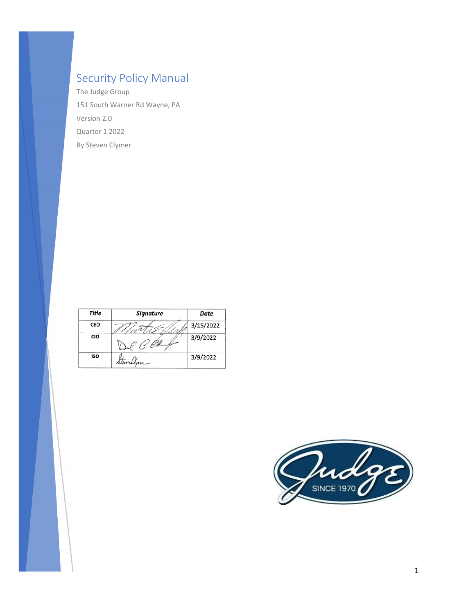## Security Policy Manual

The Judge Group 151 South Warner Rd Wayne, PA Version 2.0 Quarter 1 2022 By Steven Clymer

| Title | <b>Signature</b> | Date      |
|-------|------------------|-----------|
| CEO   |                  | 3/15/2022 |
| CIO   | <u>14</u>        | 3/9/2022  |
| ISO   | Stowerllyne      | 3/9/2022  |

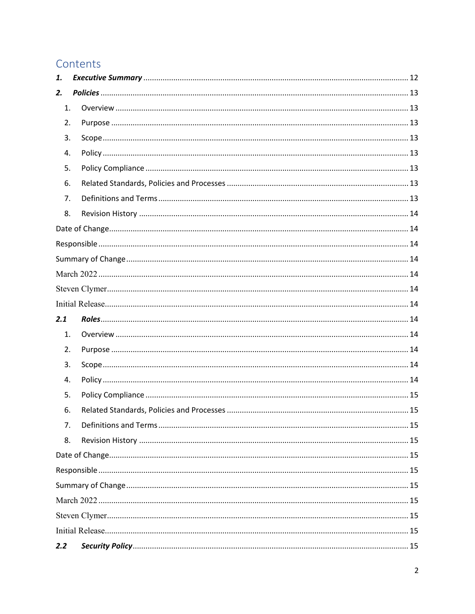## Contents

| 1.  |  |
|-----|--|
| 2.  |  |
| 1.  |  |
| 2.  |  |
| 3.  |  |
| 4.  |  |
| 5.  |  |
| 6.  |  |
| 7.  |  |
| 8.  |  |
|     |  |
|     |  |
|     |  |
|     |  |
|     |  |
|     |  |
|     |  |
| 2.1 |  |
| 1.  |  |
| 2.  |  |
| 3.  |  |
| 4.  |  |
| 5.  |  |
| 6.  |  |
| 7.  |  |
| 8.  |  |
|     |  |
|     |  |
|     |  |
|     |  |
|     |  |
|     |  |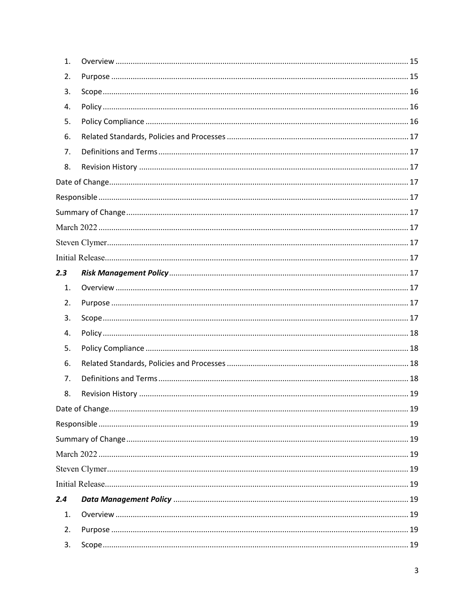| 1.  |  |
|-----|--|
| 2.  |  |
| 3.  |  |
| 4.  |  |
| 5.  |  |
| 6.  |  |
| 7.  |  |
| 8.  |  |
|     |  |
|     |  |
|     |  |
|     |  |
|     |  |
|     |  |
| 2.3 |  |
| 1.  |  |
| 2.  |  |
| 3.  |  |
| 4.  |  |
| 5.  |  |
| 6.  |  |
| 7.  |  |
| 8.  |  |
|     |  |
|     |  |
|     |  |
|     |  |
|     |  |
|     |  |
| 2.4 |  |
| 1.  |  |
| 2.  |  |
| 3.  |  |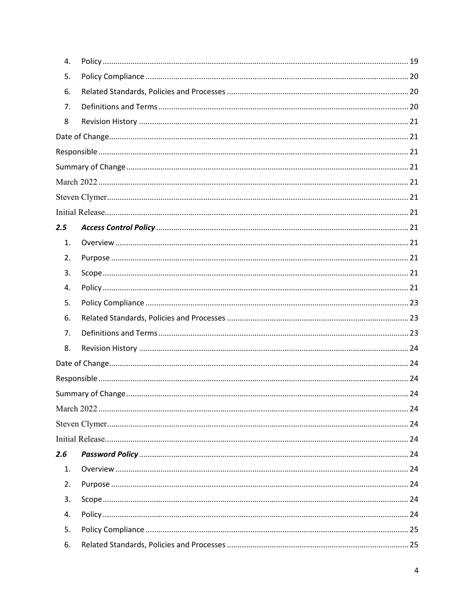| 4.  |  |
|-----|--|
| 5.  |  |
| 6.  |  |
| 7.  |  |
| 8   |  |
|     |  |
|     |  |
|     |  |
|     |  |
|     |  |
|     |  |
| 2.5 |  |
| 1.  |  |
| 2.  |  |
| 3.  |  |
| 4.  |  |
| 5.  |  |
| 6.  |  |
| 7.  |  |
| 8.  |  |
|     |  |
|     |  |
|     |  |
|     |  |
|     |  |
|     |  |
| 2.6 |  |
| 1.  |  |
| 2.  |  |
| 3.  |  |
| 4.  |  |
| 5.  |  |
| 6.  |  |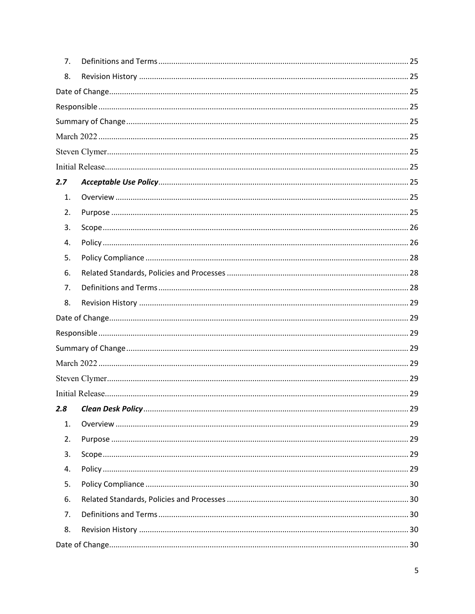| 7.  |  |
|-----|--|
| 8.  |  |
|     |  |
|     |  |
|     |  |
|     |  |
|     |  |
|     |  |
| 2.7 |  |
| 1.  |  |
| 2.  |  |
| 3.  |  |
| 4.  |  |
| 5.  |  |
| 6.  |  |
| 7.  |  |
| 8.  |  |
|     |  |
|     |  |
|     |  |
|     |  |
|     |  |
|     |  |
| 2.8 |  |
| 1.  |  |
| 2.  |  |
| 3.  |  |
| 4.  |  |
| 5.  |  |
| 6.  |  |
| 7.  |  |
| 8.  |  |
|     |  |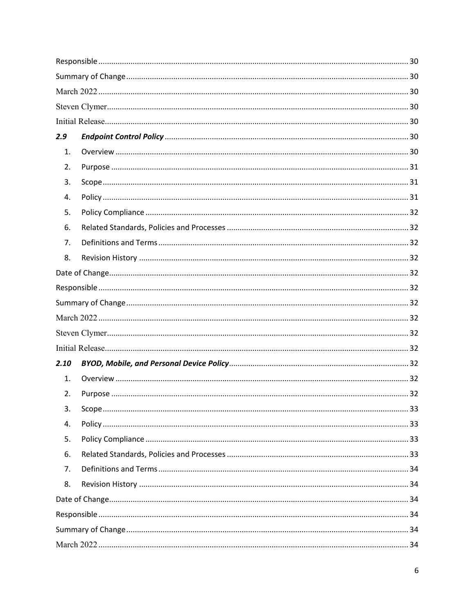| 2.9  |  |  |
|------|--|--|
| 1.   |  |  |
| 2.   |  |  |
| 3.   |  |  |
| 4.   |  |  |
| 5.   |  |  |
| 6.   |  |  |
| 7.   |  |  |
| 8.   |  |  |
|      |  |  |
|      |  |  |
|      |  |  |
|      |  |  |
|      |  |  |
|      |  |  |
| 2.10 |  |  |
| 1.   |  |  |
| 2.   |  |  |
| 3.   |  |  |
| 4.   |  |  |
| 5.   |  |  |
| 6.   |  |  |
| 7.   |  |  |
| 8.   |  |  |
|      |  |  |
|      |  |  |
|      |  |  |
|      |  |  |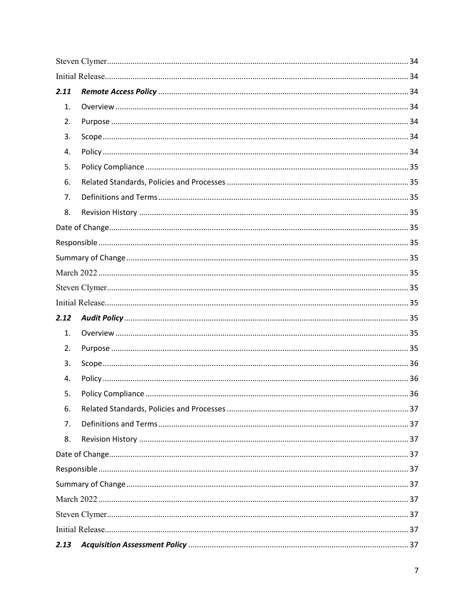| 2.11 |  |
|------|--|
| 1.   |  |
| 2.   |  |
| 3.   |  |
| 4.   |  |
| 5.   |  |
| 6.   |  |
| 7.   |  |
| 8.   |  |
|      |  |
|      |  |
|      |  |
|      |  |
|      |  |
|      |  |
| 2.12 |  |
| 1.   |  |
| 2.   |  |
| 3.   |  |
| 4.   |  |
| 5.   |  |
| 6.   |  |
| 7.   |  |
| 8.   |  |
|      |  |
|      |  |
|      |  |
|      |  |
|      |  |
|      |  |
| 2.13 |  |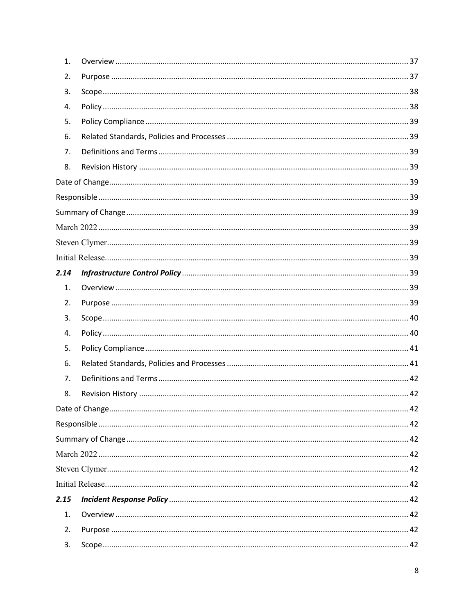| 1.   |  |
|------|--|
| 2.   |  |
| 3.   |  |
| 4.   |  |
| 5.   |  |
| 6.   |  |
| 7.   |  |
| 8.   |  |
|      |  |
|      |  |
|      |  |
|      |  |
|      |  |
|      |  |
| 2.14 |  |
| 1.   |  |
| 2.   |  |
| 3.   |  |
| 4.   |  |
| 5.   |  |
| 6.   |  |
| 7.   |  |
| 8.   |  |
|      |  |
|      |  |
|      |  |
|      |  |
|      |  |
|      |  |
| 2.15 |  |
| 1.   |  |
| 2.   |  |
| 3.   |  |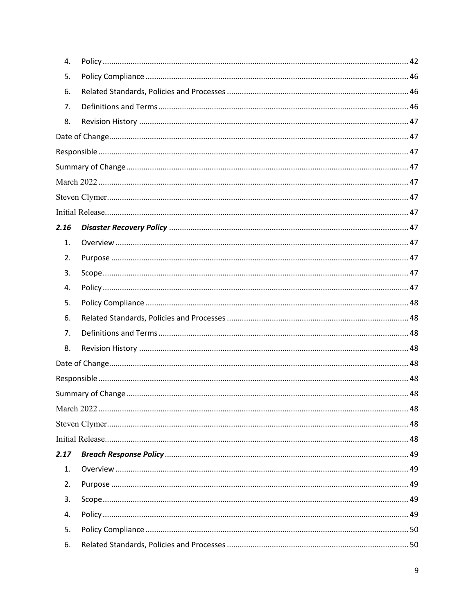| 4.   |  |
|------|--|
| 5.   |  |
| 6.   |  |
| 7.   |  |
| 8.   |  |
|      |  |
|      |  |
|      |  |
|      |  |
|      |  |
|      |  |
| 2.16 |  |
| 1.   |  |
| 2.   |  |
| 3.   |  |
| 4.   |  |
| 5.   |  |
| 6.   |  |
| 7.   |  |
| 8.   |  |
|      |  |
|      |  |
|      |  |
|      |  |
|      |  |
|      |  |
| 2.17 |  |
| 1.   |  |
| 2.   |  |
| 3.   |  |
| 4.   |  |
| 5.   |  |
| 6.   |  |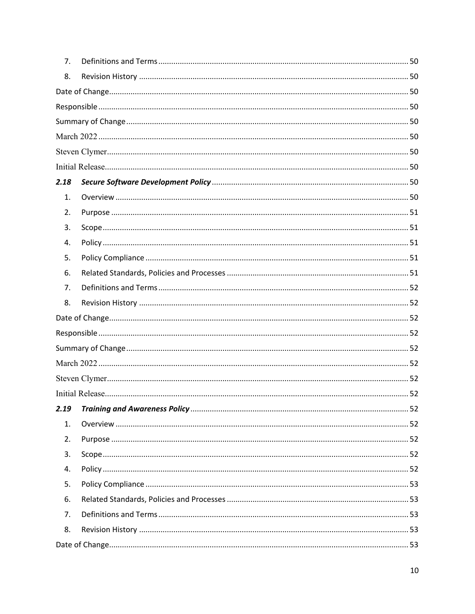| 7.   |  |
|------|--|
| 8.   |  |
|      |  |
|      |  |
|      |  |
|      |  |
|      |  |
|      |  |
| 2.18 |  |
| 1.   |  |
| 2.   |  |
| 3.   |  |
| 4.   |  |
| 5.   |  |
| 6.   |  |
| 7.   |  |
| 8.   |  |
|      |  |
|      |  |
|      |  |
|      |  |
|      |  |
|      |  |
| 2.19 |  |
| 1.   |  |
| 2.   |  |
| 3.   |  |
| 4.   |  |
| 5.   |  |
| 6.   |  |
| 7.   |  |
| 8.   |  |
|      |  |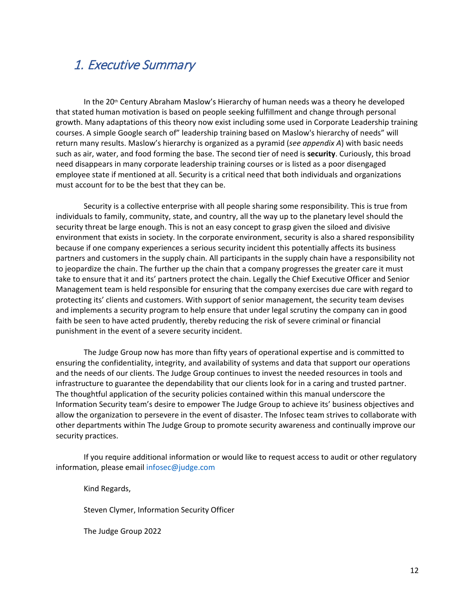## <span id="page-11-0"></span>1. Executive Summary

In the  $20<sup>th</sup>$  Century Abraham Maslow's Hierarchy of human needs was a theory he developed that stated human motivation is based on people seeking fulfillment and change through personal growth. Many adaptations of this theory now exist including some used in Corporate Leadership training courses. A simple Google search of" leadership training based on Maslow's hierarchy of needs" will return many results. Maslow's hierarchy is organized as a pyramid (*see appendix A*) with basic needs such as air, water, and food forming the base. The second tier of need is **security**. Curiously, this broad need disappears in many corporate leadership training courses or is listed as a poor disengaged employee state if mentioned at all. Security is a critical need that both individuals and organizations must account for to be the best that they can be.

Security is a collective enterprise with all people sharing some responsibility. This is true from individuals to family, community, state, and country, all the way up to the planetary level should the security threat be large enough. This is not an easy concept to grasp given the siloed and divisive environment that exists in society. In the corporate environment, security is also a shared responsibility because if one company experiences a serious security incident this potentially affects its business partners and customers in the supply chain. All participants in the supply chain have a responsibility not to jeopardize the chain. The further up the chain that a company progresses the greater care it must take to ensure that it and its' partners protect the chain. Legally the Chief Executive Officer and Senior Management team is held responsible for ensuring that the company exercises due care with regard to protecting its' clients and customers. With support of senior management, the security team devises and implements a security program to help ensure that under legal scrutiny the company can in good faith be seen to have acted prudently, thereby reducing the risk of severe criminal or financial punishment in the event of a severe security incident.

The Judge Group now has more than fifty years of operational expertise and is committed to ensuring the confidentiality, integrity, and availability of systems and data that support our operations and the needs of our clients. The Judge Group continues to invest the needed resources in tools and infrastructure to guarantee the dependability that our clients look for in a caring and trusted partner. The thoughtful application of the security policies contained within this manual underscore the Information Security team's desire to empower The Judge Group to achieve its' business objectives and allow the organization to persevere in the event of disaster. The Infosec team strives to collaborate with other departments within The Judge Group to promote security awareness and continually improve our security practices.

If you require additional information or would like to request access to audit or other regulatory information, please emai[l infosec@judge.com](mailto:infosec@judge.com)

Kind Regards,

Steven Clymer, Information Security Officer

The Judge Group 2022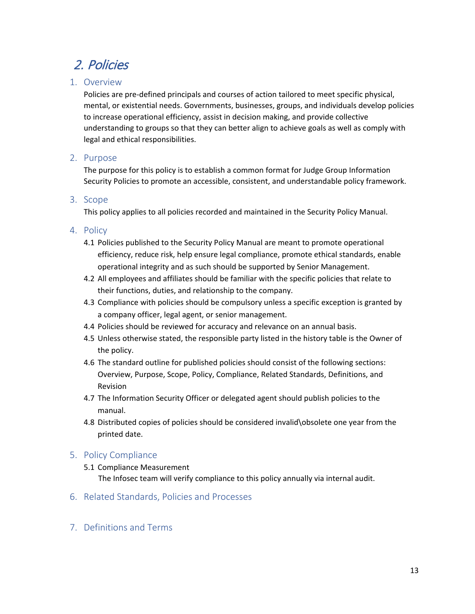## <span id="page-12-0"></span>2. Policies

## <span id="page-12-1"></span>1. Overview

Policies are pre-defined principals and courses of action tailored to meet specific physical, mental, or existential needs. Governments, businesses, groups, and individuals develop policies to increase operational efficiency, assist in decision making, and provide collective understanding to groups so that they can better align to achieve goals as well as comply with legal and ethical responsibilities.

## <span id="page-12-2"></span>2. Purpose

The purpose for this policy is to establish a common format for Judge Group Information Security Policies to promote an accessible, consistent, and understandable policy framework.

## <span id="page-12-3"></span>3. Scope

This policy applies to all policies recorded and maintained in the Security Policy Manual.

## <span id="page-12-4"></span>4. Policy

- 4.1 Policies published to the Security Policy Manual are meant to promote operational efficiency, reduce risk, help ensure legal compliance, promote ethical standards, enable operational integrity and as such should be supported by Senior Management.
- 4.2 All employees and affiliates should be familiar with the specific policies that relate to their functions, duties, and relationship to the company.
- 4.3 Compliance with policies should be compulsory unless a specific exception is granted by a company officer, legal agent, or senior management.
- 4.4 Policies should be reviewed for accuracy and relevance on an annual basis.
- 4.5 Unless otherwise stated, the responsible party listed in the history table is the Owner of the policy.
- 4.6 The standard outline for published policies should consist of the following sections: Overview, Purpose, Scope, Policy, Compliance, Related Standards, Definitions, and Revision
- 4.7 The Information Security Officer or delegated agent should publish policies to the manual.
- 4.8 Distributed copies of policies should be considered invalid\obsolete one year from the printed date.

## <span id="page-12-5"></span>5. Policy Compliance

- 5.1 Compliance Measurement The Infosec team will verify compliance to this policy annually via internal audit.
- <span id="page-12-6"></span>6. Related Standards, Policies and Processes
- <span id="page-12-7"></span>7. Definitions and Terms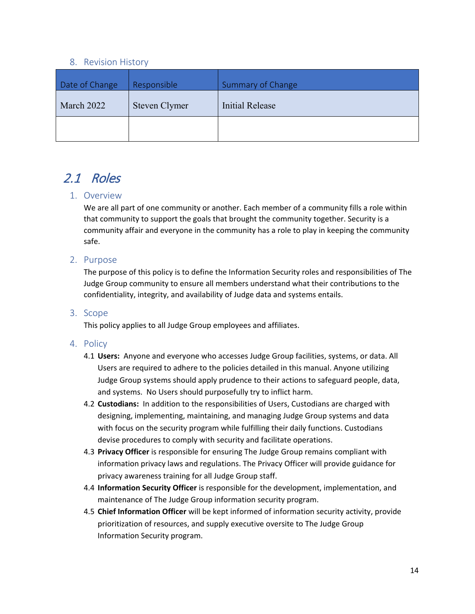#### <span id="page-13-6"></span><span id="page-13-5"></span><span id="page-13-3"></span><span id="page-13-2"></span>8. Revision History

<span id="page-13-4"></span><span id="page-13-1"></span><span id="page-13-0"></span>

| Date of Change | Responsible   | <b>Summary of Change</b> |
|----------------|---------------|--------------------------|
| March 2022     | Steven Clymer | Initial Release          |
|                |               |                          |

## <span id="page-13-7"></span>2.1 Roles

### <span id="page-13-8"></span>1. Overview

We are all part of one community or another. Each member of a community fills a role within that community to support the goals that brought the community together. Security is a community affair and everyone in the community has a role to play in keeping the community safe.

### <span id="page-13-9"></span>2. Purpose

The purpose of this policy is to define the Information Security roles and responsibilities of The Judge Group community to ensure all members understand what their contributions to the confidentiality, integrity, and availability of Judge data and systems entails.

#### <span id="page-13-11"></span><span id="page-13-10"></span>3. Scope

This policy applies to all Judge Group employees and affiliates.

- 4.1 **Users:** Anyone and everyone who accesses Judge Group facilities, systems, or data. All Users are required to adhere to the policies detailed in this manual. Anyone utilizing Judge Group systems should apply prudence to their actions to safeguard people, data, and systems. No Users should purposefully try to inflict harm.
- 4.2 **Custodians:** In addition to the responsibilities of Users, Custodians are charged with designing, implementing, maintaining, and managing Judge Group systems and data with focus on the security program while fulfilling their daily functions. Custodians devise procedures to comply with security and facilitate operations.
- 4.3 **Privacy Officer** is responsible for ensuring The Judge Group remains compliant with information privacy laws and regulations. The Privacy Officer will provide guidance for privacy awareness training for all Judge Group staff.
- 4.4 **Information Security Officer** is responsible for the development, implementation, and maintenance of The Judge Group information security program.
- 4.5 **Chief Information Officer** will be kept informed of information security activity, provide prioritization of resources, and supply executive oversite to The Judge Group Information Security program.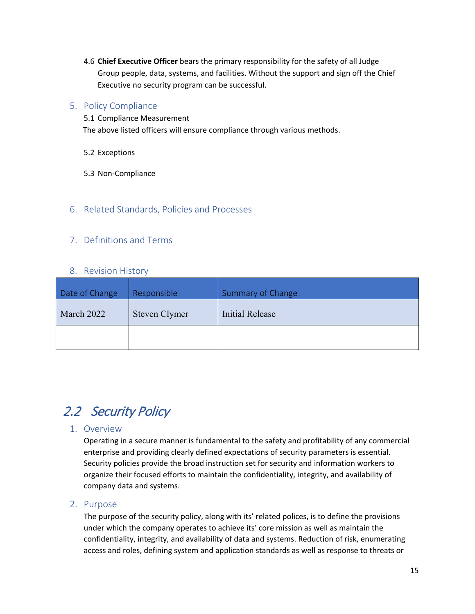4.6 **Chief Executive Officer** bears the primary responsibility for the safety of all Judge Group people, data, systems, and facilities. Without the support and sign off the Chief Executive no security program can be successful.

### <span id="page-14-0"></span>5. Policy Compliance

5.1 Compliance Measurement The above listed officers will ensure compliance through various methods.

5.2 Exceptions

5.3 Non-Compliance

### <span id="page-14-1"></span>6. Related Standards, Policies and Processes

### <span id="page-14-2"></span>7. Definitions and Terms

#### <span id="page-14-9"></span><span id="page-14-8"></span><span id="page-14-6"></span><span id="page-14-5"></span>8. Revision History

<span id="page-14-7"></span><span id="page-14-4"></span><span id="page-14-3"></span>

| Date of Change | Responsible   | Summary of Change      |
|----------------|---------------|------------------------|
| March 2022     | Steven Clymer | <b>Initial Release</b> |
|                |               |                        |

# <span id="page-14-10"></span>2.2 Security Policy

#### <span id="page-14-11"></span>1. Overview

Operating in a secure manner is fundamental to the safety and profitability of any commercial enterprise and providing clearly defined expectations of security parameters is essential. Security policies provide the broad instruction set for security and information workers to organize their focused efforts to maintain the confidentiality, integrity, and availability of company data and systems.

#### <span id="page-14-12"></span>2. Purpose

The purpose of the security policy, along with its' related polices, is to define the provisions under which the company operates to achieve its' core mission as well as maintain the confidentiality, integrity, and availability of data and systems. Reduction of risk, enumerating access and roles, defining system and application standards as well as response to threats or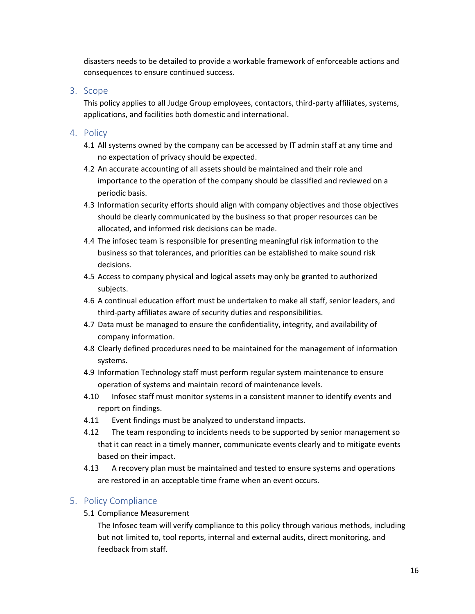disasters needs to be detailed to provide a workable framework of enforceable actions and consequences to ensure continued success.

#### <span id="page-15-0"></span>3. Scope

This policy applies to all Judge Group employees, contactors, third-party affiliates, systems, applications, and facilities both domestic and international.

## <span id="page-15-1"></span>4. Policy

- 4.1 All systems owned by the company can be accessed by IT admin staff at any time and no expectation of privacy should be expected.
- 4.2 An accurate accounting of all assets should be maintained and their role and importance to the operation of the company should be classified and reviewed on a periodic basis.
- 4.3 Information security efforts should align with company objectives and those objectives should be clearly communicated by the business so that proper resources can be allocated, and informed risk decisions can be made.
- 4.4 The infosec team is responsible for presenting meaningful risk information to the business so that tolerances, and priorities can be established to make sound risk decisions.
- 4.5 Access to company physical and logical assets may only be granted to authorized subjects.
- 4.6 A continual education effort must be undertaken to make all staff, senior leaders, and third-party affiliates aware of security duties and responsibilities.
- 4.7 Data must be managed to ensure the confidentiality, integrity, and availability of company information.
- 4.8 Clearly defined procedures need to be maintained for the management of information systems.
- 4.9 Information Technology staff must perform regular system maintenance to ensure operation of systems and maintain record of maintenance levels.
- 4.10 Infosec staff must monitor systems in a consistent manner to identify events and report on findings.
- 4.11 Event findings must be analyzed to understand impacts.
- 4.12 The team responding to incidents needs to be supported by senior management so that it can react in a timely manner, communicate events clearly and to mitigate events based on their impact.
- 4.13 A recovery plan must be maintained and tested to ensure systems and operations are restored in an acceptable time frame when an event occurs.

## <span id="page-15-2"></span>5. Policy Compliance

5.1 Compliance Measurement

The Infosec team will verify compliance to this policy through various methods, including but not limited to, tool reports, internal and external audits, direct monitoring, and feedback from staff.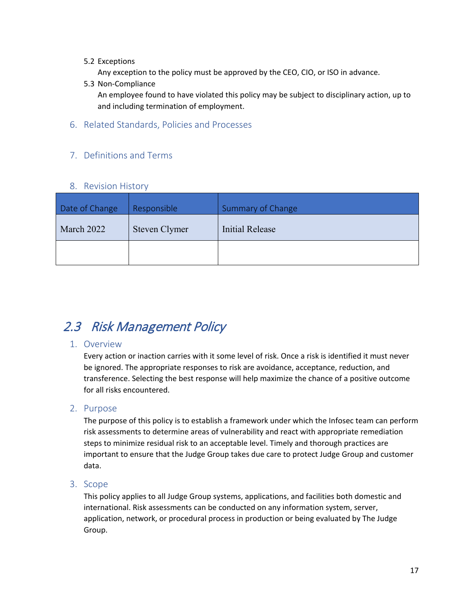#### 5.2 Exceptions

Any exception to the policy must be approved by the CEO, CIO, or ISO in advance.

5.3 Non-Compliance

An employee found to have violated this policy may be subject to disciplinary action, up to and including termination of employment.

<span id="page-16-0"></span>6. Related Standards, Policies and Processes

## <span id="page-16-1"></span>7. Definitions and Terms

### <span id="page-16-8"></span><span id="page-16-7"></span><span id="page-16-5"></span><span id="page-16-4"></span>8. Revision History

<span id="page-16-6"></span><span id="page-16-3"></span><span id="page-16-2"></span>

| Date of Change | Responsible   | Summary of Change |
|----------------|---------------|-------------------|
| March 2022     | Steven Clymer | Initial Release   |
|                |               |                   |

## <span id="page-16-9"></span>2.3 Risk Management Policy

## <span id="page-16-10"></span>1. Overview

Every action or inaction carries with it some level of risk. Once a risk is identified it must never be ignored. The appropriate responses to risk are avoidance, acceptance, reduction, and transference. Selecting the best response will help maximize the chance of a positive outcome for all risks encountered.

#### <span id="page-16-11"></span>2. Purpose

The purpose of this policy is to establish a framework under which the Infosec team can perform risk assessments to determine areas of vulnerability and react with appropriate remediation steps to minimize residual risk to an acceptable level. Timely and thorough practices are important to ensure that the Judge Group takes due care to protect Judge Group and customer data.

#### <span id="page-16-12"></span>3. Scope

This policy applies to all Judge Group systems, applications, and facilities both domestic and international. Risk assessments can be conducted on any information system, server, application, network, or procedural process in production or being evaluated by The Judge Group.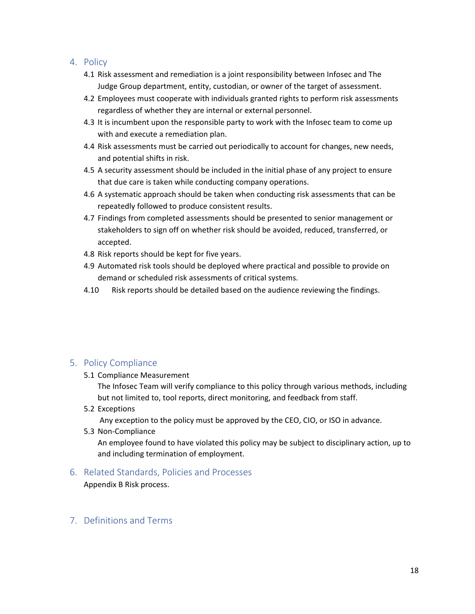#### <span id="page-17-0"></span>4. Policy

- 4.1 Risk assessment and remediation is a joint responsibility between Infosec and The Judge Group department, entity, custodian, or owner of the target of assessment.
- 4.2 Employees must cooperate with individuals granted rights to perform risk assessments regardless of whether they are internal or external personnel.
- 4.3 It is incumbent upon the responsible party to work with the Infosec team to come up with and execute a remediation plan.
- 4.4 Risk assessments must be carried out periodically to account for changes, new needs, and potential shifts in risk.
- 4.5 A security assessment should be included in the initial phase of any project to ensure that due care is taken while conducting company operations.
- 4.6 A systematic approach should be taken when conducting risk assessments that can be repeatedly followed to produce consistent results.
- 4.7 Findings from completed assessments should be presented to senior management or stakeholders to sign off on whether risk should be avoided, reduced, transferred, or accepted.
- 4.8 Risk reports should be kept for five years.
- 4.9 Automated risk tools should be deployed where practical and possible to provide on demand or scheduled risk assessments of critical systems.
- 4.10 Risk reports should be detailed based on the audience reviewing the findings.

## <span id="page-17-1"></span>5. Policy Compliance

5.1 Compliance Measurement

The Infosec Team will verify compliance to this policy through various methods, including but not limited to, tool reports, direct monitoring, and feedback from staff.

5.2 Exceptions

Any exception to the policy must be approved by the CEO, CIO, or ISO in advance.

5.3 Non-Compliance

An employee found to have violated this policy may be subject to disciplinary action, up to and including termination of employment.

#### <span id="page-17-2"></span>6. Related Standards, Policies and Processes

Appendix B Risk process.

<span id="page-17-3"></span>7. Definitions and Terms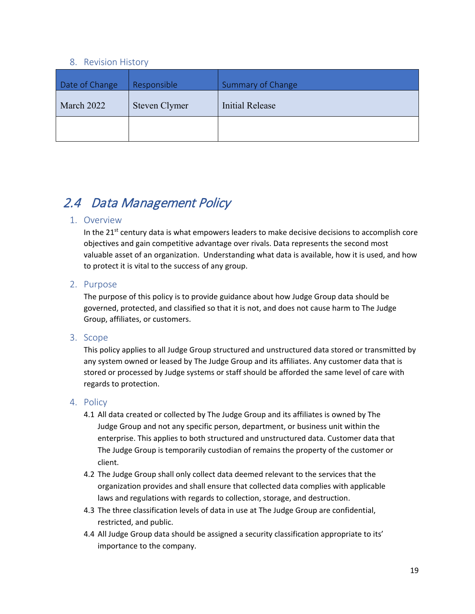#### <span id="page-18-6"></span><span id="page-18-5"></span><span id="page-18-3"></span><span id="page-18-2"></span>8. Revision History

<span id="page-18-4"></span><span id="page-18-1"></span><span id="page-18-0"></span>

| Date of Change | Responsible   | <b>Summary of Change</b> |
|----------------|---------------|--------------------------|
| March 2022     | Steven Clymer | <b>Initial Release</b>   |
|                |               |                          |

# <span id="page-18-7"></span>2.4 Data Management Policy

#### <span id="page-18-8"></span>1. Overview

In the  $21<sup>st</sup>$  century data is what empowers leaders to make decisive decisions to accomplish core objectives and gain competitive advantage over rivals. Data represents the second most valuable asset of an organization. Understanding what data is available, how it is used, and how to protect it is vital to the success of any group.

### <span id="page-18-9"></span>2. Purpose

The purpose of this policy is to provide guidance about how Judge Group data should be governed, protected, and classified so that it is not, and does not cause harm to The Judge Group, affiliates, or customers.

## <span id="page-18-10"></span>3. Scope

This policy applies to all Judge Group structured and unstructured data stored or transmitted by any system owned or leased by The Judge Group and its affiliates. Any customer data that is stored or processed by Judge systems or staff should be afforded the same level of care with regards to protection.

- <span id="page-18-11"></span>4.1 All data created or collected by The Judge Group and its affiliates is owned by The Judge Group and not any specific person, department, or business unit within the enterprise. This applies to both structured and unstructured data. Customer data that The Judge Group is temporarily custodian of remains the property of the customer or client.
- 4.2 The Judge Group shall only collect data deemed relevant to the services that the organization provides and shall ensure that collected data complies with applicable laws and regulations with regards to collection, storage, and destruction.
- 4.3 The three classification levels of data in use at The Judge Group are confidential, restricted, and public.
- 4.4 All Judge Group data should be assigned a security classification appropriate to its' importance to the company.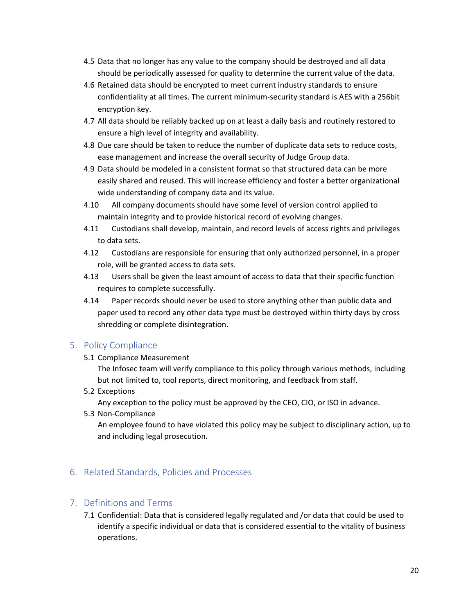- 4.5 Data that no longer has any value to the company should be destroyed and all data should be periodically assessed for quality to determine the current value of the data.
- 4.6 Retained data should be encrypted to meet current industry standards to ensure confidentiality at all times. The current minimum-security standard is AES with a 256bit encryption key.
- 4.7 All data should be reliably backed up on at least a daily basis and routinely restored to ensure a high level of integrity and availability.
- 4.8 Due care should be taken to reduce the number of duplicate data sets to reduce costs, ease management and increase the overall security of Judge Group data.
- 4.9 Data should be modeled in a consistent format so that structured data can be more easily shared and reused. This will increase efficiency and foster a better organizational wide understanding of company data and its value.
- 4.10 All company documents should have some level of version control applied to maintain integrity and to provide historical record of evolving changes.
- 4.11 Custodians shall develop, maintain, and record levels of access rights and privileges to data sets.
- 4.12 Custodians are responsible for ensuring that only authorized personnel, in a proper role, will be granted access to data sets.
- 4.13 Users shall be given the least amount of access to data that their specific function requires to complete successfully.
- 4.14 Paper records should never be used to store anything other than public data and paper used to record any other data type must be destroyed within thirty days by cross shredding or complete disintegration.

<span id="page-19-0"></span>5.1 Compliance Measurement

The Infosec team will verify compliance to this policy through various methods, including but not limited to, tool reports, direct monitoring, and feedback from staff.

5.2 Exceptions

Any exception to the policy must be approved by the CEO, CIO, or ISO in advance.

5.3 Non-Compliance

An employee found to have violated this policy may be subject to disciplinary action, up to and including legal prosecution.

## <span id="page-19-1"></span>6. Related Standards, Policies and Processes

#### <span id="page-19-2"></span>7. Definitions and Terms

7.1 Confidential: Data that is considered legally regulated and /or data that could be used to identify a specific individual or data that is considered essential to the vitality of business operations.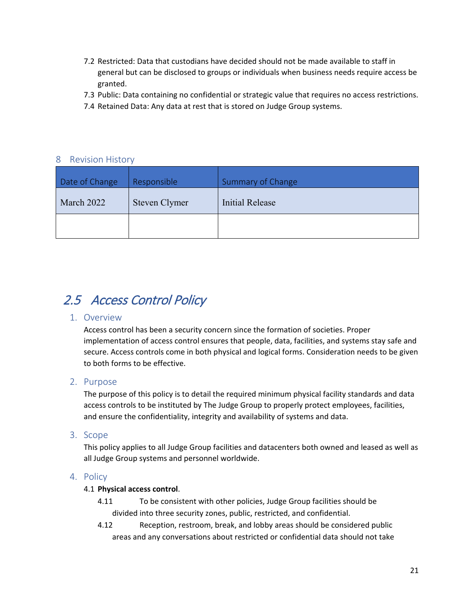- 7.2 Restricted: Data that custodians have decided should not be made available to staff in general but can be disclosed to groups or individuals when business needs require access be granted.
- 7.3 Public: Data containing no confidential or strategic value that requires no access restrictions.
- <span id="page-20-6"></span><span id="page-20-3"></span>7.4 Retained Data: Any data at rest that is stored on Judge Group systems.

### <span id="page-20-0"></span>8 Revision History

<span id="page-20-5"></span><span id="page-20-4"></span><span id="page-20-2"></span><span id="page-20-1"></span>

| Date of Change | Responsible   | Summary of Change |
|----------------|---------------|-------------------|
| March 2022     | Steven Clymer | Initial Release   |
|                |               |                   |

## <span id="page-20-7"></span>2.5 Access Control Policy

#### <span id="page-20-8"></span>1. Overview

Access control has been a security concern since the formation of societies. Proper implementation of access control ensures that people, data, facilities, and systems stay safe and secure. Access controls come in both physical and logical forms. Consideration needs to be given to both forms to be effective.

#### <span id="page-20-9"></span>2. Purpose

The purpose of this policy is to detail the required minimum physical facility standards and data access controls to be instituted by The Judge Group to properly protect employees, facilities, and ensure the confidentiality, integrity and availability of systems and data.

#### <span id="page-20-10"></span>3. Scope

This policy applies to all Judge Group facilities and datacenters both owned and leased as well as all Judge Group systems and personnel worldwide.

#### <span id="page-20-11"></span>4. Policy

#### 4.1 **Physical access control**.

- 4.11 To be consistent with other policies, Judge Group facilities should be divided into three security zones, public, restricted, and confidential.
- 4.12 Reception, restroom, break, and lobby areas should be considered public areas and any conversations about restricted or confidential data should not take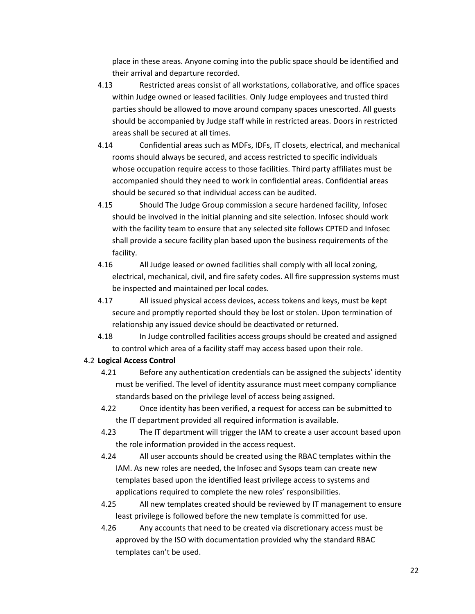place in these areas. Anyone coming into the public space should be identified and their arrival and departure recorded.

- 4.13 Restricted areas consist of all workstations, collaborative, and office spaces within Judge owned or leased facilities. Only Judge employees and trusted third parties should be allowed to move around company spaces unescorted. All guests should be accompanied by Judge staff while in restricted areas. Doors in restricted areas shall be secured at all times.
- 4.14 Confidential areas such as MDFs, IDFs, IT closets, electrical, and mechanical rooms should always be secured, and access restricted to specific individuals whose occupation require access to those facilities. Third party affiliates must be accompanied should they need to work in confidential areas. Confidential areas should be secured so that individual access can be audited.
- 4.15 Should The Judge Group commission a secure hardened facility, Infosec should be involved in the initial planning and site selection. Infosec should work with the facility team to ensure that any selected site follows CPTED and Infosec shall provide a secure facility plan based upon the business requirements of the facility.
- 4.16 All Judge leased or owned facilities shall comply with all local zoning, electrical, mechanical, civil, and fire safety codes. All fire suppression systems must be inspected and maintained per local codes.
- 4.17 All issued physical access devices, access tokens and keys, must be kept secure and promptly reported should they be lost or stolen. Upon termination of relationship any issued device should be deactivated or returned.
- 4.18 In Judge controlled facilities access groups should be created and assigned to control which area of a facility staff may access based upon their role.

#### 4.2 **Logical Access Control**

- 4.21 Before any authentication credentials can be assigned the subjects' identity must be verified. The level of identity assurance must meet company compliance standards based on the privilege level of access being assigned.
- 4.22 Once identity has been verified, a request for access can be submitted to the IT department provided all required information is available.
- 4.23 The IT department will trigger the IAM to create a user account based upon the role information provided in the access request.
- 4.24 All user accounts should be created using the RBAC templates within the IAM. As new roles are needed, the Infosec and Sysops team can create new templates based upon the identified least privilege access to systems and applications required to complete the new roles' responsibilities.
- 4.25 All new templates created should be reviewed by IT management to ensure least privilege is followed before the new template is committed for use.
- 4.26 Any accounts that need to be created via discretionary access must be approved by the ISO with documentation provided why the standard RBAC templates can't be used.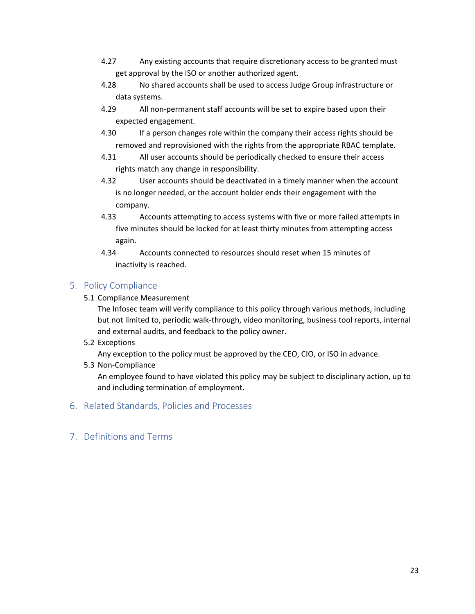- 4.27 Any existing accounts that require discretionary access to be granted must get approval by the ISO or another authorized agent.
- 4.28 No shared accounts shall be used to access Judge Group infrastructure or data systems.
- 4.29 All non-permanent staff accounts will be set to expire based upon their expected engagement.
- 4.30 If a person changes role within the company their access rights should be removed and reprovisioned with the rights from the appropriate RBAC template.
- 4.31 All user accounts should be periodically checked to ensure their access rights match any change in responsibility.
- 4.32 User accounts should be deactivated in a timely manner when the account is no longer needed, or the account holder ends their engagement with the company.
- 4.33 Accounts attempting to access systems with five or more failed attempts in five minutes should be locked for at least thirty minutes from attempting access again.
- 4.34 Accounts connected to resources should reset when 15 minutes of inactivity is reached.

<span id="page-22-0"></span>5.1 Compliance Measurement

The Infosec team will verify compliance to this policy through various methods, including but not limited to, periodic walk-through, video monitoring, business tool reports, internal and external audits, and feedback to the policy owner.

5.2 Exceptions

Any exception to the policy must be approved by the CEO, CIO, or ISO in advance.

5.3 Non-Compliance

An employee found to have violated this policy may be subject to disciplinary action, up to and including termination of employment.

- <span id="page-22-1"></span>6. Related Standards, Policies and Processes
- <span id="page-22-2"></span>7. Definitions and Terms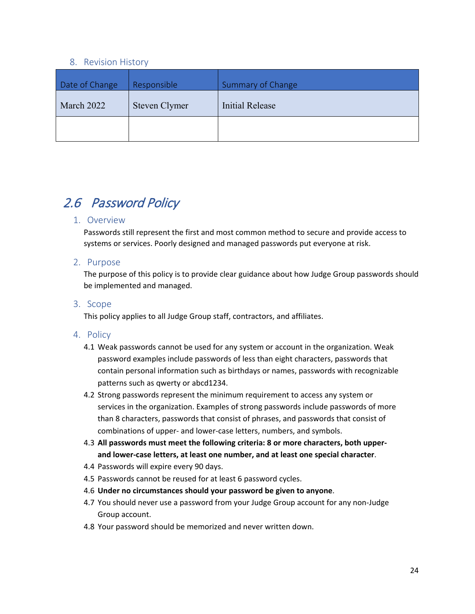#### <span id="page-23-6"></span><span id="page-23-5"></span><span id="page-23-3"></span><span id="page-23-2"></span>8. Revision History

<span id="page-23-4"></span><span id="page-23-1"></span><span id="page-23-0"></span>

| Date of Change | Responsible   | <b>Summary of Change</b> |
|----------------|---------------|--------------------------|
| March 2022     | Steven Clymer | Initial Release          |
|                |               |                          |

# <span id="page-23-8"></span><span id="page-23-7"></span>2.6 Password Policy

#### 1. Overview

Passwords still represent the first and most common method to secure and provide access to systems or services. Poorly designed and managed passwords put everyone at risk.

#### <span id="page-23-9"></span>2. Purpose

The purpose of this policy is to provide clear guidance about how Judge Group passwords should be implemented and managed.

#### <span id="page-23-10"></span>3. Scope

This policy applies to all Judge Group staff, contractors, and affiliates.

- <span id="page-23-11"></span>4.1 Weak passwords cannot be used for any system or account in the organization. Weak password examples include passwords of less than eight characters, passwords that contain personal information such as birthdays or names, passwords with recognizable patterns such as qwerty or abcd1234.
- 4.2 Strong passwords represent the minimum requirement to access any system or services in the organization. Examples of strong passwords include passwords of more than 8 characters, passwords that consist of phrases, and passwords that consist of combinations of upper- and lower-case letters, numbers, and symbols.
- 4.3 **All passwords must meet the following criteria: 8 or more characters, both upperand lower-case letters, at least one number, and at least one special character**.
- 4.4 Passwords will expire every 90 days.
- 4.5 Passwords cannot be reused for at least 6 password cycles.
- 4.6 **Under no circumstances should your password be given to anyone**.
- 4.7 You should never use a password from your Judge Group account for any non-Judge Group account.
- 4.8 Your password should be memorized and never written down.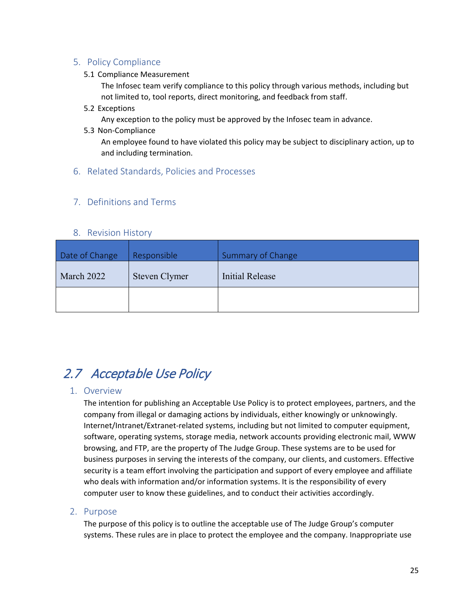<span id="page-24-0"></span>5.1 Compliance Measurement

The Infosec team verify compliance to this policy through various methods, including but not limited to, tool reports, direct monitoring, and feedback from staff.

5.2 Exceptions

Any exception to the policy must be approved by the Infosec team in advance.

5.3 Non-Compliance

An employee found to have violated this policy may be subject to disciplinary action, up to and including termination.

<span id="page-24-1"></span>6. Related Standards, Policies and Processes

### <span id="page-24-2"></span>7. Definitions and Terms

#### <span id="page-24-9"></span><span id="page-24-8"></span><span id="page-24-6"></span><span id="page-24-5"></span>8. Revision History

<span id="page-24-7"></span><span id="page-24-4"></span><span id="page-24-3"></span>

| Date of Change | Responsible   | <b>Summary of Change</b> |
|----------------|---------------|--------------------------|
| March 2022     | Steven Clymer | Initial Release          |
|                |               |                          |

## <span id="page-24-10"></span>2.7 Acceptable Use Policy

#### <span id="page-24-11"></span>1. Overview

The intention for publishing an Acceptable Use Policy is to protect employees, partners, and the company from illegal or damaging actions by individuals, either knowingly or unknowingly. Internet/Intranet/Extranet-related systems, including but not limited to computer equipment, software, operating systems, storage media, network accounts providing electronic mail, WWW browsing, and FTP, are the property of The Judge Group. These systems are to be used for business purposes in serving the interests of the company, our clients, and customers. Effective security is a team effort involving the participation and support of every employee and affiliate who deals with information and/or information systems. It is the responsibility of every computer user to know these guidelines, and to conduct their activities accordingly.

#### <span id="page-24-12"></span>2. Purpose

The purpose of this policy is to outline the acceptable use of The Judge Group's computer systems. These rules are in place to protect the employee and the company. Inappropriate use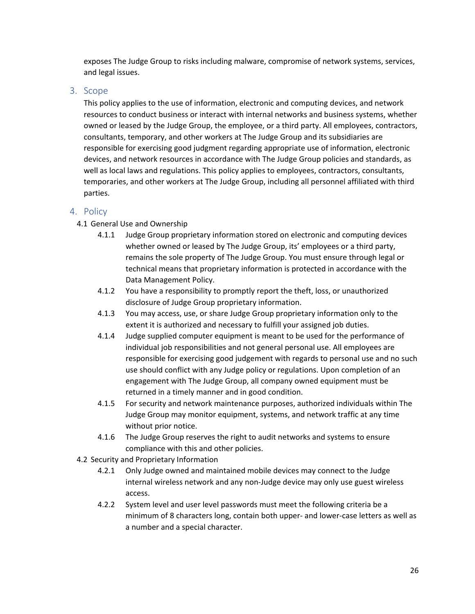exposes The Judge Group to risks including malware, compromise of network systems, services, and legal issues.

### <span id="page-25-0"></span>3. Scope

This policy applies to the use of information, electronic and computing devices, and network resources to conduct business or interact with internal networks and business systems, whether owned or leased by the Judge Group, the employee, or a third party. All employees, contractors, consultants, temporary, and other workers at The Judge Group and its subsidiaries are responsible for exercising good judgment regarding appropriate use of information, electronic devices, and network resources in accordance with The Judge Group policies and standards, as well as local laws and regulations. This policy applies to employees, contractors, consultants, temporaries, and other workers at The Judge Group, including all personnel affiliated with third parties.

- <span id="page-25-1"></span>4.1 General Use and Ownership
	- 4.1.1 Judge Group proprietary information stored on electronic and computing devices whether owned or leased by The Judge Group, its' employees or a third party, remains the sole property of The Judge Group. You must ensure through legal or technical means that proprietary information is protected in accordance with the Data Management Policy.
	- 4.1.2 You have a responsibility to promptly report the theft, loss, or unauthorized disclosure of Judge Group proprietary information.
	- 4.1.3 You may access, use, or share Judge Group proprietary information only to the extent it is authorized and necessary to fulfill your assigned job duties.
	- 4.1.4 Judge supplied computer equipment is meant to be used for the performance of individual job responsibilities and not general personal use. All employees are responsible for exercising good judgement with regards to personal use and no such use should conflict with any Judge policy or regulations. Upon completion of an engagement with The Judge Group, all company owned equipment must be returned in a timely manner and in good condition.
	- 4.1.5 For security and network maintenance purposes, authorized individuals within The Judge Group may monitor equipment, systems, and network traffic at any time without prior notice.
	- 4.1.6 The Judge Group reserves the right to audit networks and systems to ensure compliance with this and other policies.
- 4.2 Security and Proprietary Information
	- 4.2.1 Only Judge owned and maintained mobile devices may connect to the Judge internal wireless network and any non-Judge device may only use guest wireless access.
	- 4.2.2 System level and user level passwords must meet the following criteria be a minimum of 8 characters long, contain both upper- and lower-case letters as well as a number and a special character.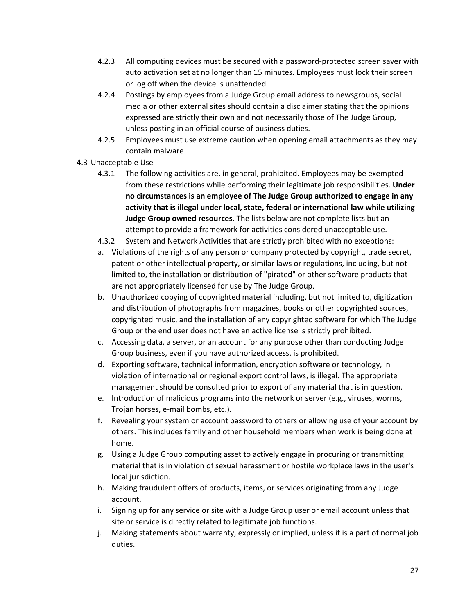- 4.2.3 All computing devices must be secured with a password-protected screen saver with auto activation set at no longer than 15 minutes. Employees must lock their screen or log off when the device is unattended.
- 4.2.4 Postings by employees from a Judge Group email address to newsgroups, social media or other external sites should contain a disclaimer stating that the opinions expressed are strictly their own and not necessarily those of The Judge Group, unless posting in an official course of business duties.
- 4.2.5 Employees must use extreme caution when opening email attachments as they may contain malware
- 4.3 Unacceptable Use
	- 4.3.1 The following activities are, in general, prohibited. Employees may be exempted from these restrictions while performing their legitimate job responsibilities. **Under no circumstances is an employee of The Judge Group authorized to engage in any activity that is illegal under local, state, federal or international law while utilizing Judge Group owned resources**. The lists below are not complete lists but an attempt to provide a framework for activities considered unacceptable use.
	- 4.3.2 System and Network Activities that are strictly prohibited with no exceptions:
	- a. Violations of the rights of any person or company protected by copyright, trade secret, patent or other intellectual property, or similar laws or regulations, including, but not limited to, the installation or distribution of "pirated" or other software products that are not appropriately licensed for use by The Judge Group.
	- b. Unauthorized copying of copyrighted material including, but not limited to, digitization and distribution of photographs from magazines, books or other copyrighted sources, copyrighted music, and the installation of any copyrighted software for which The Judge Group or the end user does not have an active license is strictly prohibited.
	- c. Accessing data, a server, or an account for any purpose other than conducting Judge Group business, even if you have authorized access, is prohibited.
	- d. Exporting software, technical information, encryption software or technology, in violation of international or regional export control laws, is illegal. The appropriate management should be consulted prior to export of any material that is in question.
	- e. Introduction of malicious programs into the network or server (e.g., viruses, worms, Trojan horses, e-mail bombs, etc.).
	- f. Revealing your system or account password to others or allowing use of your account by others. This includes family and other household members when work is being done at home.
	- g. Using a Judge Group computing asset to actively engage in procuring or transmitting material that is in violation of sexual harassment or hostile workplace laws in the user's local jurisdiction.
	- h. Making fraudulent offers of products, items, or services originating from any Judge account.
	- i. Signing up for any service or site with a Judge Group user or email account unless that site or service is directly related to legitimate job functions.
	- j. Making statements about warranty, expressly or implied, unless it is a part of normal job duties.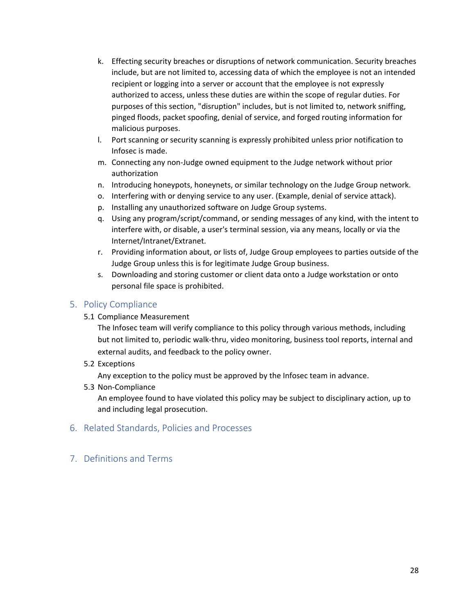- k. Effecting security breaches or disruptions of network communication. Security breaches include, but are not limited to, accessing data of which the employee is not an intended recipient or logging into a server or account that the employee is not expressly authorized to access, unless these duties are within the scope of regular duties. For purposes of this section, "disruption" includes, but is not limited to, network sniffing, pinged floods, packet spoofing, denial of service, and forged routing information for malicious purposes.
- l. Port scanning or security scanning is expressly prohibited unless prior notification to Infosec is made.
- m. Connecting any non-Judge owned equipment to the Judge network without prior authorization
- n. Introducing honeypots, honeynets, or similar technology on the Judge Group network.
- o. Interfering with or denying service to any user. (Example, denial of service attack).
- p. Installing any unauthorized software on Judge Group systems.
- q. Using any program/script/command, or sending messages of any kind, with the intent to interfere with, or disable, a user's terminal session, via any means, locally or via the Internet/Intranet/Extranet.
- r. Providing information about, or lists of, Judge Group employees to parties outside of the Judge Group unless this is for legitimate Judge Group business.
- s. Downloading and storing customer or client data onto a Judge workstation or onto personal file space is prohibited.

<span id="page-27-0"></span>5.1 Compliance Measurement

The Infosec team will verify compliance to this policy through various methods, including but not limited to, periodic walk-thru, video monitoring, business tool reports, internal and external audits, and feedback to the policy owner.

5.2 Exceptions

Any exception to the policy must be approved by the Infosec team in advance.

5.3 Non-Compliance

An employee found to have violated this policy may be subject to disciplinary action, up to and including legal prosecution.

- <span id="page-27-1"></span>6. Related Standards, Policies and Processes
- <span id="page-27-2"></span>7. Definitions and Terms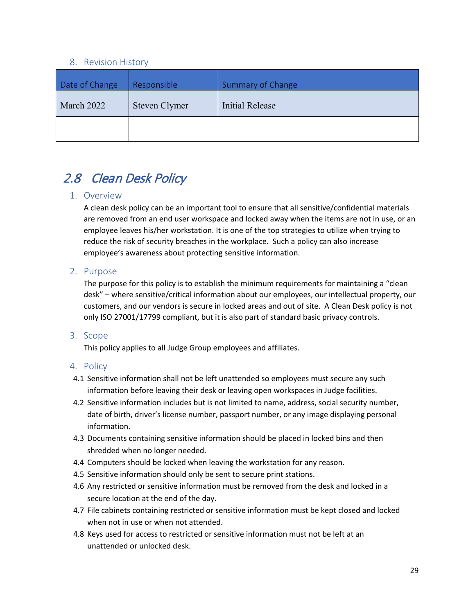#### <span id="page-28-6"></span><span id="page-28-5"></span><span id="page-28-3"></span><span id="page-28-2"></span>8. Revision History

<span id="page-28-4"></span><span id="page-28-1"></span><span id="page-28-0"></span>

| Date of Change | Responsible   | <b>Summary of Change</b> |
|----------------|---------------|--------------------------|
| March 2022     | Steven Clymer | Initial Release          |
|                |               |                          |

# <span id="page-28-7"></span>2.8 Clean Desk Policy

#### <span id="page-28-8"></span>1. Overview

A clean desk policy can be an important tool to ensure that all sensitive/confidential materials are removed from an end user workspace and locked away when the items are not in use, or an employee leaves his/her workstation. It is one of the top strategies to utilize when trying to reduce the risk of security breaches in the workplace. Such a policy can also increase employee's awareness about protecting sensitive information.

### <span id="page-28-9"></span>2. Purpose

The purpose for this policy is to establish the minimum requirements for maintaining a "clean desk" – where sensitive/critical information about our employees, our intellectual property, our customers, and our vendors is secure in locked areas and out of site. A Clean Desk policy is not only ISO 27001/17799 compliant, but it is also part of standard basic privacy controls.

#### <span id="page-28-10"></span>3. Scope

This policy applies to all Judge Group employees and affiliates.

- <span id="page-28-11"></span>4.1 Sensitive information shall not be left unattended so employees must secure any such information before leaving their desk or leaving open workspaces in Judge facilities.
- 4.2 Sensitive information includes but is not limited to name, address, social security number, date of birth, driver's license number, passport number, or any image displaying personal information.
- 4.3 Documents containing sensitive information should be placed in locked bins and then shredded when no longer needed.
- 4.4 Computers should be locked when leaving the workstation for any reason.
- 4.5 Sensitive information should only be sent to secure print stations.
- 4.6 Any restricted or sensitive information must be removed from the desk and locked in a secure location at the end of the day.
- 4.7 File cabinets containing restricted or sensitive information must be kept closed and locked when not in use or when not attended.
- 4.8 Keys used for access to restricted or sensitive information must not be left at an unattended or unlocked desk.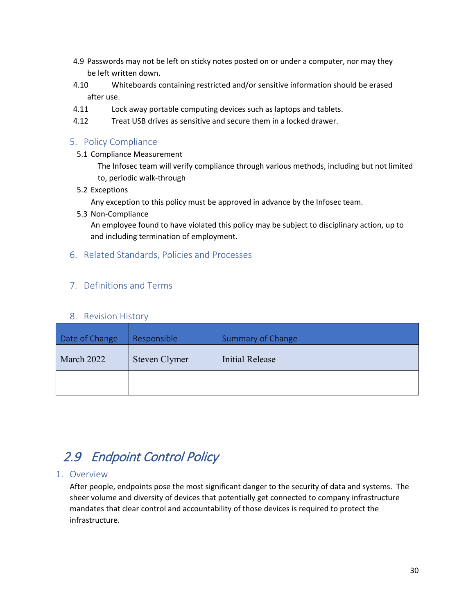- 4.9 Passwords may not be left on sticky notes posted on or under a computer, nor may they be left written down.
- 4.10 Whiteboards containing restricted and/or sensitive information should be erased after use.
- 4.11 Lock away portable computing devices such as laptops and tablets.
- 4.12 Treat USB drives as sensitive and secure them in a locked drawer.

<span id="page-29-0"></span>5.1 Compliance Measurement

The Infosec team will verify compliance through various methods, including but not limited to, periodic walk-through

5.2 Exceptions

Any exception to this policy must be approved in advance by the Infosec team.

5.3 Non-Compliance

An employee found to have violated this policy may be subject to disciplinary action, up to and including termination of employment.

### <span id="page-29-1"></span>6. Related Standards, Policies and Processes

## <span id="page-29-2"></span>7. Definitions and Terms

#### <span id="page-29-9"></span><span id="page-29-8"></span><span id="page-29-6"></span><span id="page-29-5"></span>8. Revision History

<span id="page-29-7"></span><span id="page-29-4"></span><span id="page-29-3"></span>

| Date of Change | Responsible   | <b>Summary of Change</b> |
|----------------|---------------|--------------------------|
| March 2022     | Steven Clymer | Initial Release          |
|                |               |                          |

## <span id="page-29-10"></span>2.9 Endpoint Control Policy

#### <span id="page-29-11"></span>1. Overview

After people, endpoints pose the most significant danger to the security of data and systems. The sheer volume and diversity of devices that potentially get connected to company infrastructure mandates that clear control and accountability of those devices is required to protect the infrastructure.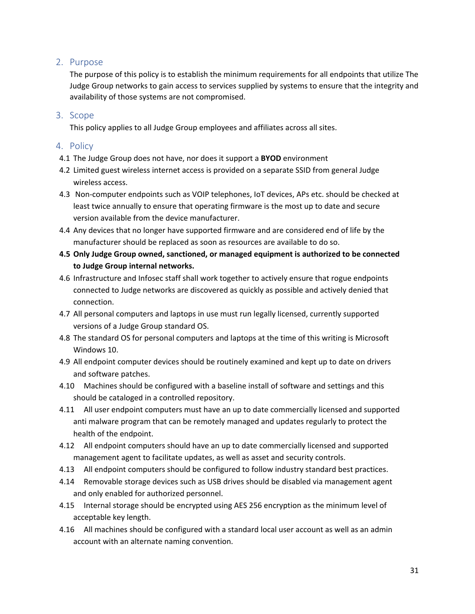## <span id="page-30-0"></span>2. Purpose

The purpose of this policy is to establish the minimum requirements for all endpoints that utilize The Judge Group networks to gain access to services supplied by systems to ensure that the integrity and availability of those systems are not compromised.

### <span id="page-30-1"></span>3. Scope

This policy applies to all Judge Group employees and affiliates across all sites.

- <span id="page-30-2"></span>4.1 The Judge Group does not have, nor does it support a **BYOD** environment
- 4.2 Limited guest wireless internet access is provided on a separate SSID from general Judge wireless access.
- 4.3 Non-computer endpoints such as VOIP telephones, IoT devices, APs etc. should be checked at least twice annually to ensure that operating firmware is the most up to date and secure version available from the device manufacturer.
- 4.4 Any devices that no longer have supported firmware and are considered end of life by the manufacturer should be replaced as soon as resources are available to do so.
- **4.5 Only Judge Group owned, sanctioned, or managed equipment is authorized to be connected to Judge Group internal networks.**
- 4.6 Infrastructure and Infosec staff shall work together to actively ensure that rogue endpoints connected to Judge networks are discovered as quickly as possible and actively denied that connection.
- 4.7 All personal computers and laptops in use must run legally licensed, currently supported versions of a Judge Group standard OS.
- 4.8 The standard OS for personal computers and laptops at the time of this writing is Microsoft Windows 10.
- 4.9 All endpoint computer devices should be routinely examined and kept up to date on drivers and software patches.
- 4.10 Machines should be configured with a baseline install of software and settings and this should be cataloged in a controlled repository.
- 4.11 All user endpoint computers must have an up to date commercially licensed and supported anti malware program that can be remotely managed and updates regularly to protect the health of the endpoint.
- 4.12 All endpoint computers should have an up to date commercially licensed and supported management agent to facilitate updates, as well as asset and security controls.
- 4.13 All endpoint computers should be configured to follow industry standard best practices.
- 4.14 Removable storage devices such as USB drives should be disabled via management agent and only enabled for authorized personnel.
- 4.15 Internal storage should be encrypted using AES 256 encryption as the minimum level of acceptable key length.
- 4.16 All machines should be configured with a standard local user account as well as an admin account with an alternate naming convention.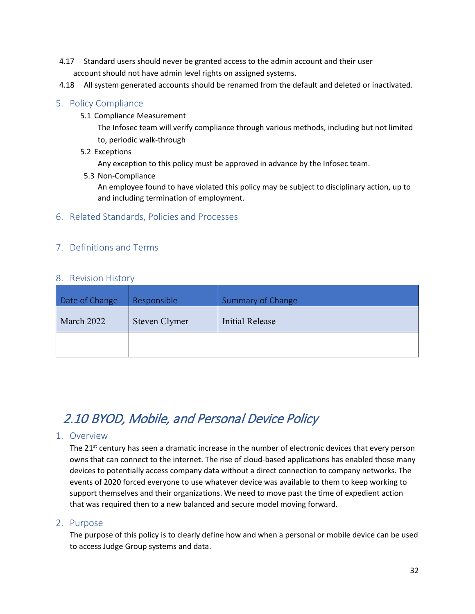- 4.17 Standard users should never be granted access to the admin account and their user account should not have admin level rights on assigned systems.
- <span id="page-31-0"></span>4.18 All system generated accounts should be renamed from the default and deleted or inactivated.

5.1 Compliance Measurement

The Infosec team will verify compliance through various methods, including but not limited to, periodic walk-through

5.2 Exceptions

Any exception to this policy must be approved in advance by the Infosec team.

5.3 Non-Compliance

<span id="page-31-6"></span>An employee found to have violated this policy may be subject to disciplinary action, up to and including termination of employment.

<span id="page-31-1"></span>6. Related Standards, Policies and Processes

## <span id="page-31-2"></span>7. Definitions and Terms

#### <span id="page-31-5"></span><span id="page-31-3"></span>8. Revision History

<span id="page-31-9"></span><span id="page-31-8"></span><span id="page-31-7"></span><span id="page-31-4"></span>

| Date of Change | Responsible   | Summary of Change |
|----------------|---------------|-------------------|
| March 2022     | Steven Clymer | Initial Release   |
|                |               |                   |

# <span id="page-31-10"></span>2.10 BYOD, Mobile, and Personal Device Policy

#### <span id="page-31-11"></span>1. Overview

The 21<sup>st</sup> century has seen a dramatic increase in the number of electronic devices that every person owns that can connect to the internet. The rise of cloud-based applications has enabled those many devices to potentially access company data without a direct connection to company networks. The events of 2020 forced everyone to use whatever device was available to them to keep working to support themselves and their organizations. We need to move past the time of expedient action that was required then to a new balanced and secure model moving forward.

#### <span id="page-31-12"></span>2. Purpose

The purpose of this policy is to clearly define how and when a personal or mobile device can be used to access Judge Group systems and data.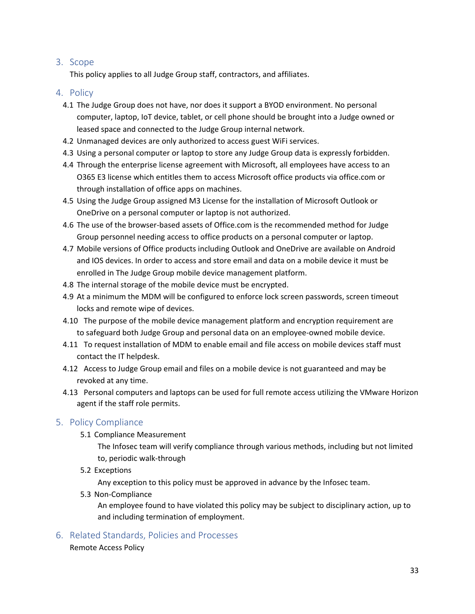## <span id="page-32-0"></span>3. Scope

This policy applies to all Judge Group staff, contractors, and affiliates.

#### <span id="page-32-1"></span>4. Policy

- 4.1 The Judge Group does not have, nor does it support a BYOD environment. No personal computer, laptop, IoT device, tablet, or cell phone should be brought into a Judge owned or leased space and connected to the Judge Group internal network.
- 4.2 Unmanaged devices are only authorized to access guest WiFi services.
- 4.3 Using a personal computer or laptop to store any Judge Group data is expressly forbidden.
- 4.4 Through the enterprise license agreement with Microsoft, all employees have access to an O365 E3 license which entitles them to access Microsoft office products via office.com or through installation of office apps on machines.
- 4.5 Using the Judge Group assigned M3 License for the installation of Microsoft Outlook or OneDrive on a personal computer or laptop is not authorized.
- 4.6 The use of the browser-based assets of Office.com is the recommended method for Judge Group personnel needing access to office products on a personal computer or laptop.
- 4.7 Mobile versions of Office products including Outlook and OneDrive are available on Android and IOS devices. In order to access and store email and data on a mobile device it must be enrolled in The Judge Group mobile device management platform.
- 4.8 The internal storage of the mobile device must be encrypted.
- 4.9 At a minimum the MDM will be configured to enforce lock screen passwords, screen timeout locks and remote wipe of devices.
- 4.10 The purpose of the mobile device management platform and encryption requirement are to safeguard both Judge Group and personal data on an employee-owned mobile device.
- 4.11 To request installation of MDM to enable email and file access on mobile devices staff must contact the IT helpdesk.
- 4.12 Access to Judge Group email and files on a mobile device is not guaranteed and may be revoked at any time.
- 4.13 Personal computers and laptops can be used for full remote access utilizing the VMware Horizon agent if the staff role permits.

## <span id="page-32-2"></span>5. Policy Compliance

5.1 Compliance Measurement

The Infosec team will verify compliance through various methods, including but not limited to, periodic walk-through

5.2 Exceptions

Any exception to this policy must be approved in advance by the Infosec team.

5.3 Non-Compliance

An employee found to have violated this policy may be subject to disciplinary action, up to and including termination of employment.

<span id="page-32-3"></span>6. Related Standards, Policies and Processes

Remote Access Policy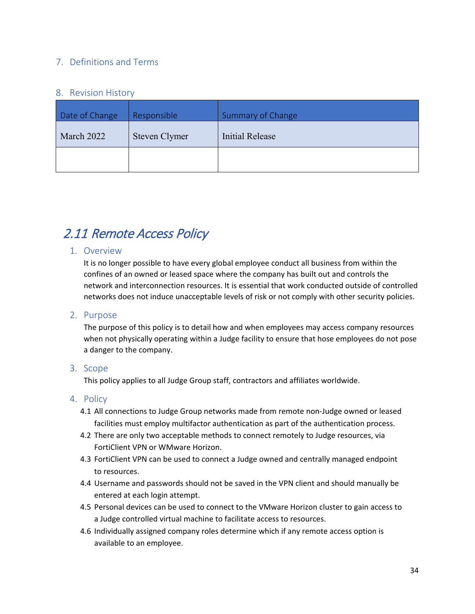## <span id="page-33-0"></span>7. Definitions and Terms

#### <span id="page-33-4"></span><span id="page-33-3"></span><span id="page-33-1"></span>8. Revision History

<span id="page-33-7"></span><span id="page-33-6"></span><span id="page-33-5"></span><span id="page-33-2"></span>

| Date of Change | Responsible   | <b>Summary of Change</b> |
|----------------|---------------|--------------------------|
| March 2022     | Steven Clymer | <b>Initial Release</b>   |
|                |               |                          |

# <span id="page-33-8"></span>2.11 Remote Access Policy

### <span id="page-33-9"></span>1. Overview

It is no longer possible to have every global employee conduct all business from within the confines of an owned or leased space where the company has built out and controls the network and interconnection resources. It is essential that work conducted outside of controlled networks does not induce unacceptable levels of risk or not comply with other security policies.

#### <span id="page-33-10"></span>2. Purpose

The purpose of this policy is to detail how and when employees may access company resources when not physically operating within a Judge facility to ensure that hose employees do not pose a danger to the company.

#### <span id="page-33-11"></span>3. Scope

This policy applies to all Judge Group staff, contractors and affiliates worldwide.

- <span id="page-33-12"></span>4.1 All connections to Judge Group networks made from remote non-Judge owned or leased facilities must employ multifactor authentication as part of the authentication process.
- 4.2 There are only two acceptable methods to connect remotely to Judge resources, via FortiClient VPN or WMware Horizon.
- 4.3 FortiClient VPN can be used to connect a Judge owned and centrally managed endpoint to resources.
- 4.4 Username and passwords should not be saved in the VPN client and should manually be entered at each login attempt.
- 4.5 Personal devices can be used to connect to the VMware Horizon cluster to gain access to a Judge controlled virtual machine to facilitate access to resources.
- 4.6 Individually assigned company roles determine which if any remote access option is available to an employee.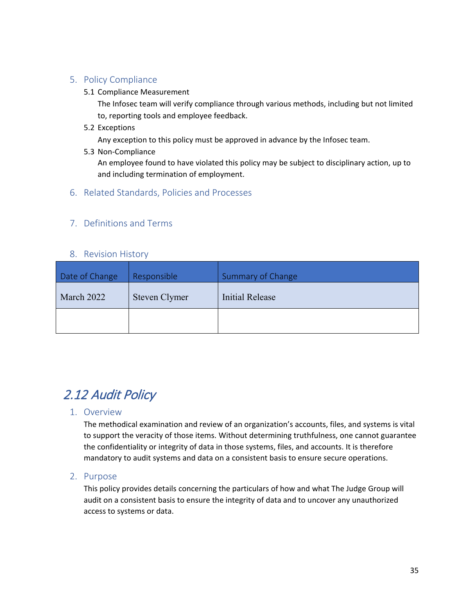#### <span id="page-34-0"></span>5.1 Compliance Measurement

The Infosec team will verify compliance through various methods, including but not limited to, reporting tools and employee feedback.

5.2 Exceptions

Any exception to this policy must be approved in advance by the Infosec team.

5.3 Non-Compliance

An employee found to have violated this policy may be subject to disciplinary action, up to and including termination of employment.

### <span id="page-34-1"></span>6. Related Standards, Policies and Processes

## <span id="page-34-2"></span>7. Definitions and Terms

#### <span id="page-34-9"></span><span id="page-34-8"></span><span id="page-34-6"></span><span id="page-34-5"></span>8. Revision History

<span id="page-34-7"></span><span id="page-34-4"></span><span id="page-34-3"></span>

| Date of Change | Responsible   | Summary of Change |
|----------------|---------------|-------------------|
| March 2022     | Steven Clymer | Initial Release   |
|                |               |                   |

## <span id="page-34-10"></span>2.12 Audit Policy

## <span id="page-34-11"></span>1. Overview

The methodical examination and review of an organization's accounts, files, and systems is vital to support the veracity of those items. Without determining truthfulness, one cannot guarantee the confidentiality or integrity of data in those systems, files, and accounts. It is therefore mandatory to audit systems and data on a consistent basis to ensure secure operations.

#### <span id="page-34-12"></span>2. Purpose

This policy provides details concerning the particulars of how and what The Judge Group will audit on a consistent basis to ensure the integrity of data and to uncover any unauthorized access to systems or data.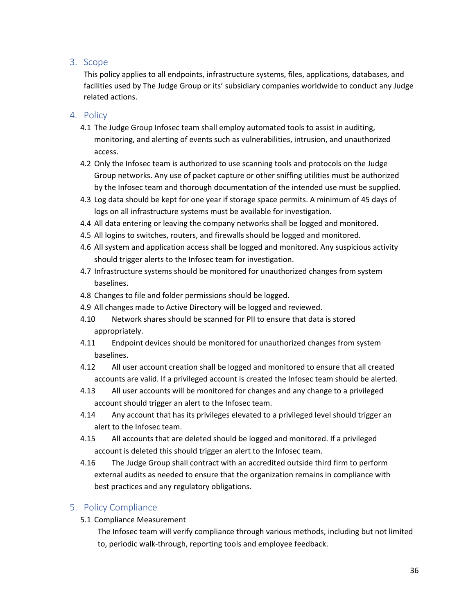## <span id="page-35-0"></span>3. Scope

This policy applies to all endpoints, infrastructure systems, files, applications, databases, and facilities used by The Judge Group or its' subsidiary companies worldwide to conduct any Judge related actions.

#### <span id="page-35-1"></span>4. Policy

- 4.1 The Judge Group Infosec team shall employ automated tools to assist in auditing, monitoring, and alerting of events such as vulnerabilities, intrusion, and unauthorized access.
- 4.2 Only the Infosec team is authorized to use scanning tools and protocols on the Judge Group networks. Any use of packet capture or other sniffing utilities must be authorized by the Infosec team and thorough documentation of the intended use must be supplied.
- 4.3 Log data should be kept for one year if storage space permits. A minimum of 45 days of logs on all infrastructure systems must be available for investigation.
- 4.4 All data entering or leaving the company networks shall be logged and monitored.
- 4.5 All logins to switches, routers, and firewalls should be logged and monitored.
- 4.6 All system and application access shall be logged and monitored. Any suspicious activity should trigger alerts to the Infosec team for investigation.
- 4.7 Infrastructure systems should be monitored for unauthorized changes from system baselines.
- 4.8 Changes to file and folder permissions should be logged.
- 4.9 All changes made to Active Directory will be logged and reviewed.
- 4.10 Network shares should be scanned for PII to ensure that data is stored appropriately.
- 4.11 Endpoint devices should be monitored for unauthorized changes from system baselines.
- 4.12 All user account creation shall be logged and monitored to ensure that all created accounts are valid. If a privileged account is created the Infosec team should be alerted.
- 4.13 All user accounts will be monitored for changes and any change to a privileged account should trigger an alert to the Infosec team.
- 4.14 Any account that has its privileges elevated to a privileged level should trigger an alert to the Infosec team.
- 4.15 All accounts that are deleted should be logged and monitored. If a privileged account is deleted this should trigger an alert to the Infosec team.
- 4.16 The Judge Group shall contract with an accredited outside third firm to perform external audits as needed to ensure that the organization remains in compliance with best practices and any regulatory obligations.

## <span id="page-35-2"></span>5. Policy Compliance

5.1 Compliance Measurement

The Infosec team will verify compliance through various methods, including but not limited to, periodic walk-through, reporting tools and employee feedback.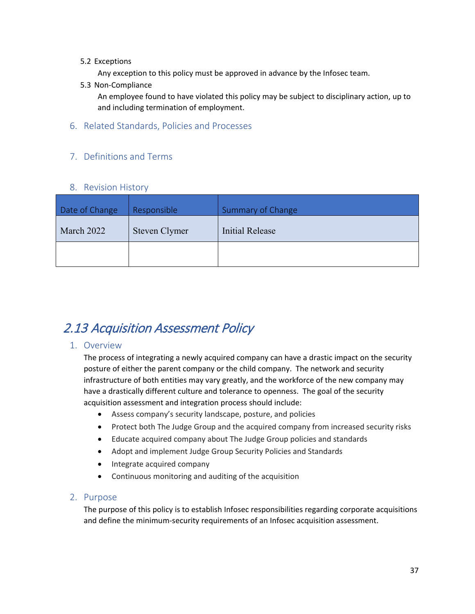#### 5.2 Exceptions

Any exception to this policy must be approved in advance by the Infosec team.

5.3 Non-Compliance

An employee found to have violated this policy may be subject to disciplinary action, up to and including termination of employment.

<span id="page-36-0"></span>6. Related Standards, Policies and Processes

## <span id="page-36-1"></span>7. Definitions and Terms

### <span id="page-36-8"></span><span id="page-36-7"></span><span id="page-36-5"></span><span id="page-36-4"></span>8. Revision History

<span id="page-36-6"></span><span id="page-36-3"></span><span id="page-36-2"></span>

| Date of Change | Responsible   | Summary of Change |
|----------------|---------------|-------------------|
| March 2022     | Steven Clymer | Initial Release   |
|                |               |                   |

## <span id="page-36-9"></span>2.13 Acquisition Assessment Policy

#### <span id="page-36-10"></span>1. Overview

The process of integrating a newly acquired company can have a drastic impact on the security posture of either the parent company or the child company. The network and security infrastructure of both entities may vary greatly, and the workforce of the new company may have a drastically different culture and tolerance to openness. The goal of the security acquisition assessment and integration process should include:

- Assess company's security landscape, posture, and policies
- Protect both The Judge Group and the acquired company from increased security risks
- Educate acquired company about The Judge Group policies and standards
- Adopt and implement Judge Group Security Policies and Standards
- Integrate acquired company
- Continuous monitoring and auditing of the acquisition

#### <span id="page-36-11"></span>2. Purpose

The purpose of this policy is to establish Infosec responsibilities regarding corporate acquisitions and define the minimum-security requirements of an Infosec acquisition assessment.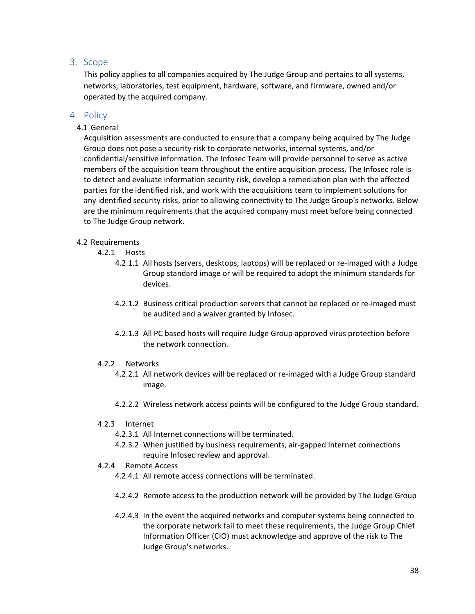### <span id="page-37-0"></span>3. Scope

This policy applies to all companies acquired by The Judge Group and pertains to all systems, networks, laboratories, test equipment, hardware, software, and firmware, owned and/or operated by the acquired company.

#### <span id="page-37-1"></span>4. Policy

#### 4.1 General

Acquisition assessments are conducted to ensure that a company being acquired by The Judge Group does not pose a security risk to corporate networks, internal systems, and/or confidential/sensitive information. The Infosec Team will provide personnel to serve as active members of the acquisition team throughout the entire acquisition process. The Infosec role is to detect and evaluate information security risk, develop a remediation plan with the affected parties for the identified risk, and work with the acquisitions team to implement solutions for any identified security risks, prior to allowing connectivity to The Judge Group's networks. Below are the minimum requirements that the acquired company must meet before being connected to The Judge Group network.

#### 4.2 Requirements

4.2.1 Hosts

- 4.2.1.1 All hosts (servers, desktops, laptops) will be replaced or re-imaged with a Judge Group standard image or will be required to adopt the minimum standards for devices.
- 4.2.1.2 Business critical production servers that cannot be replaced or re-imaged must be audited and a waiver granted by Infosec.
- 4.2.1.3 All PC based hosts will require Judge Group approved virus protection before the network connection.

#### 4.2.2 Networks

- 4.2.2.1 All network devices will be replaced or re-imaged with a Judge Group standard image.
- 4.2.2.2 Wireless network access points will be configured to the Judge Group standard.

#### 4.2.3 Internet

- 4.2.3.1 All Internet connections will be terminated.
- 4.2.3.2 When justified by business requirements, air-gapped Internet connections require Infosec review and approval.
- 4.2.4 Remote Access
	- 4.2.4.1 All remote access connections will be terminated.
	- 4.2.4.2 Remote access to the production network will be provided by The Judge Group
	- 4.2.4.3 In the event the acquired networks and computer systems being connected to the corporate network fail to meet these requirements, the Judge Group Chief Information Officer (CIO) must acknowledge and approve of the risk to The Judge Group's networks.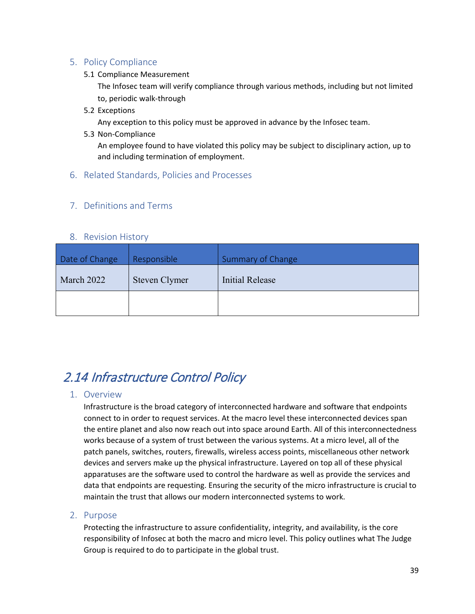<span id="page-38-0"></span>5.1 Compliance Measurement

The Infosec team will verify compliance through various methods, including but not limited to, periodic walk-through

5.2 Exceptions

Any exception to this policy must be approved in advance by the Infosec team.

5.3 Non-Compliance

An employee found to have violated this policy may be subject to disciplinary action, up to and including termination of employment.

<span id="page-38-1"></span>6. Related Standards, Policies and Processes

## <span id="page-38-2"></span>7. Definitions and Terms

### <span id="page-38-9"></span><span id="page-38-8"></span><span id="page-38-6"></span><span id="page-38-5"></span>8. Revision History

<span id="page-38-7"></span><span id="page-38-4"></span><span id="page-38-3"></span>

| Date of Change | Responsible   | Summary of Change |  |  |  |
|----------------|---------------|-------------------|--|--|--|
| March 2022     | Steven Clymer | Initial Release   |  |  |  |
|                |               |                   |  |  |  |

# <span id="page-38-10"></span>2.14 Infrastructure Control Policy

## <span id="page-38-11"></span>1. Overview

Infrastructure is the broad category of interconnected hardware and software that endpoints connect to in order to request services. At the macro level these interconnected devices span the entire planet and also now reach out into space around Earth. All of this interconnectedness works because of a system of trust between the various systems. At a micro level, all of the patch panels, switches, routers, firewalls, wireless access points, miscellaneous other network devices and servers make up the physical infrastructure. Layered on top all of these physical apparatuses are the software used to control the hardware as well as provide the services and data that endpoints are requesting. Ensuring the security of the micro infrastructure is crucial to maintain the trust that allows our modern interconnected systems to work.

## <span id="page-38-12"></span>2. Purpose

Protecting the infrastructure to assure confidentiality, integrity, and availability, is the core responsibility of Infosec at both the macro and micro level. This policy outlines what The Judge Group is required to do to participate in the global trust.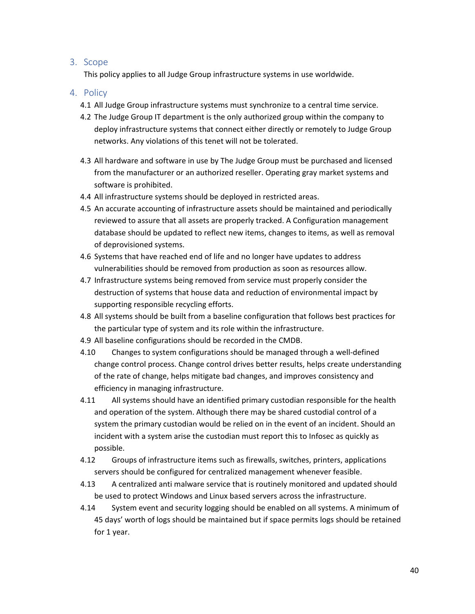#### <span id="page-39-0"></span>3. Scope

This policy applies to all Judge Group infrastructure systems in use worldwide.

- <span id="page-39-1"></span>4.1 All Judge Group infrastructure systems must synchronize to a central time service.
- 4.2 The Judge Group IT department is the only authorized group within the company to deploy infrastructure systems that connect either directly or remotely to Judge Group networks. Any violations of this tenet will not be tolerated.
- 4.3 All hardware and software in use by The Judge Group must be purchased and licensed from the manufacturer or an authorized reseller. Operating gray market systems and software is prohibited.
- 4.4 All infrastructure systems should be deployed in restricted areas.
- 4.5 An accurate accounting of infrastructure assets should be maintained and periodically reviewed to assure that all assets are properly tracked. A Configuration management database should be updated to reflect new items, changes to items, as well as removal of deprovisioned systems.
- 4.6 Systems that have reached end of life and no longer have updates to address vulnerabilities should be removed from production as soon as resources allow.
- 4.7 Infrastructure systems being removed from service must properly consider the destruction of systems that house data and reduction of environmental impact by supporting responsible recycling efforts.
- 4.8 All systems should be built from a baseline configuration that follows best practices for the particular type of system and its role within the infrastructure.
- 4.9 All baseline configurations should be recorded in the CMDB.
- 4.10 Changes to system configurations should be managed through a well-defined change control process. Change control drives better results, helps create understanding of the rate of change, helps mitigate bad changes, and improves consistency and efficiency in managing infrastructure.
- 4.11 All systems should have an identified primary custodian responsible for the health and operation of the system. Although there may be shared custodial control of a system the primary custodian would be relied on in the event of an incident. Should an incident with a system arise the custodian must report this to Infosec as quickly as possible.
- 4.12 Groups of infrastructure items such as firewalls, switches, printers, applications servers should be configured for centralized management whenever feasible.
- 4.13 A centralized anti malware service that is routinely monitored and updated should be used to protect Windows and Linux based servers across the infrastructure.
- 4.14 System event and security logging should be enabled on all systems. A minimum of 45 days' worth of logs should be maintained but if space permits logs should be retained for 1 year.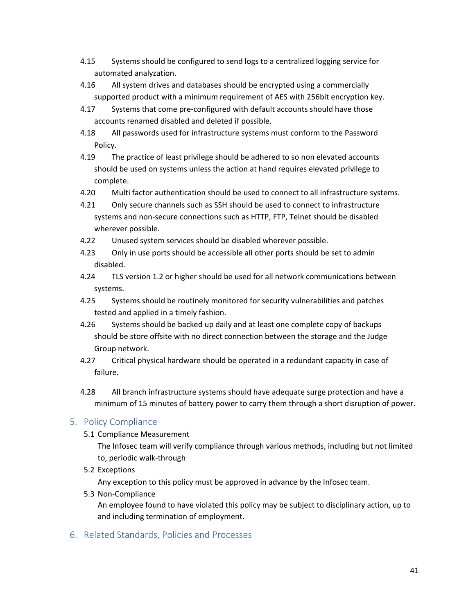- 4.15 Systems should be configured to send logs to a centralized logging service for automated analyzation.
- 4.16 All system drives and databases should be encrypted using a commercially supported product with a minimum requirement of AES with 256bit encryption key.
- 4.17 Systems that come pre-configured with default accounts should have those accounts renamed disabled and deleted if possible.
- 4.18 All passwords used for infrastructure systems must conform to the Password Policy.
- 4.19 The practice of least privilege should be adhered to so non elevated accounts should be used on systems unless the action at hand requires elevated privilege to complete.
- 4.20 Multi factor authentication should be used to connect to all infrastructure systems.
- 4.21 Only secure channels such as SSH should be used to connect to infrastructure systems and non-secure connections such as HTTP, FTP, Telnet should be disabled wherever possible.
- 4.22 Unused system services should be disabled wherever possible.
- 4.23 Only in use ports should be accessible all other ports should be set to admin disabled.
- 4.24 TLS version 1.2 or higher should be used for all network communications between systems.
- 4.25 Systems should be routinely monitored for security vulnerabilities and patches tested and applied in a timely fashion.
- 4.26 Systems should be backed up daily and at least one complete copy of backups should be store offsite with no direct connection between the storage and the Judge Group network.
- 4.27 Critical physical hardware should be operated in a redundant capacity in case of failure.
- 4.28 All branch infrastructure systems should have adequate surge protection and have a minimum of 15 minutes of battery power to carry them through a short disruption of power.

<span id="page-40-0"></span>5.1 Compliance Measurement

The Infosec team will verify compliance through various methods, including but not limited to, periodic walk-through

5.2 Exceptions

Any exception to this policy must be approved in advance by the Infosec team.

5.3 Non-Compliance

An employee found to have violated this policy may be subject to disciplinary action, up to and including termination of employment.

<span id="page-40-1"></span>6. Related Standards, Policies and Processes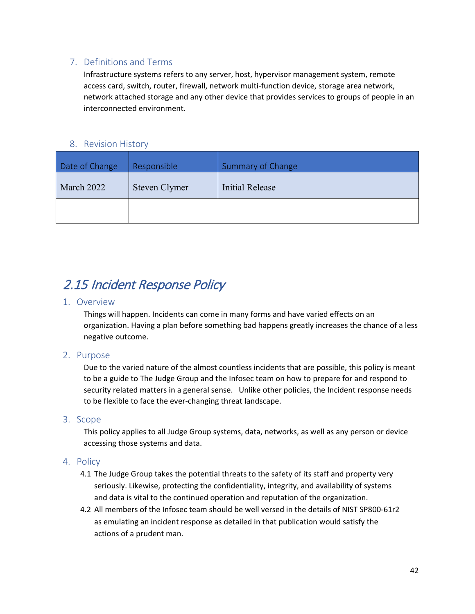## <span id="page-41-0"></span>7. Definitions and Terms

Infrastructure systems refers to any server, host, hypervisor management system, remote access card, switch, router, firewall, network multi-function device, storage area network, network attached storage and any other device that provides services to groups of people in an interconnected environment.

### <span id="page-41-7"></span><span id="page-41-6"></span><span id="page-41-4"></span><span id="page-41-3"></span>8. Revision History

<span id="page-41-5"></span><span id="page-41-2"></span><span id="page-41-1"></span>

| Date of Change | Responsible   | <b>Summary of Change</b> |  |  |
|----------------|---------------|--------------------------|--|--|
| March 2022     | Steven Clymer | Initial Release          |  |  |
|                |               |                          |  |  |

## <span id="page-41-8"></span>2.15 Incident Response Policy

#### <span id="page-41-9"></span>1. Overview

Things will happen. Incidents can come in many forms and have varied effects on an organization. Having a plan before something bad happens greatly increases the chance of a less negative outcome.

#### <span id="page-41-10"></span>2. Purpose

Due to the varied nature of the almost countless incidents that are possible, this policy is meant to be a guide to The Judge Group and the Infosec team on how to prepare for and respond to security related matters in a general sense. Unlike other policies, the Incident response needs to be flexible to face the ever-changing threat landscape.

#### <span id="page-41-11"></span>3. Scope

This policy applies to all Judge Group systems, data, networks, as well as any person or device accessing those systems and data.

- <span id="page-41-12"></span>4.1 The Judge Group takes the potential threats to the safety of its staff and property very seriously. Likewise, protecting the confidentiality, integrity, and availability of systems and data is vital to the continued operation and reputation of the organization.
- 4.2 All members of the Infosec team should be well versed in the details of NIST SP800-61r2 as emulating an incident response as detailed in that publication would satisfy the actions of a prudent man.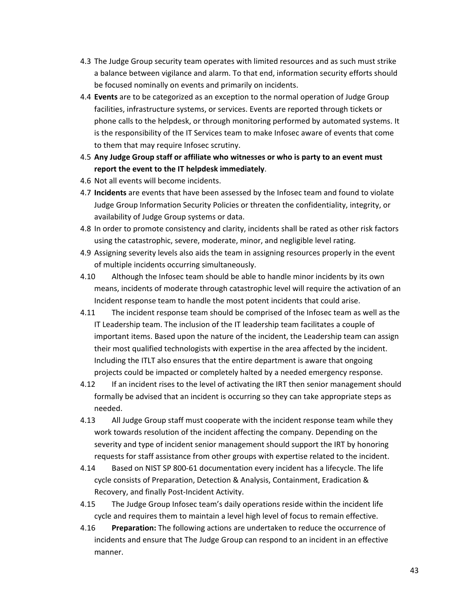- 4.3 The Judge Group security team operates with limited resources and as such must strike a balance between vigilance and alarm. To that end, information security efforts should be focused nominally on events and primarily on incidents.
- 4.4 **Events** are to be categorized as an exception to the normal operation of Judge Group facilities, infrastructure systems, or services. Events are reported through tickets or phone calls to the helpdesk, or through monitoring performed by automated systems. It is the responsibility of the IT Services team to make Infosec aware of events that come to them that may require Infosec scrutiny.
- 4.5 **Any Judge Group staff or affiliate who witnesses or who is party to an event must report the event to the IT helpdesk immediately**.
- 4.6 Not all events will become incidents.
- 4.7 **Incidents** are events that have been assessed by the Infosec team and found to violate Judge Group Information Security Policies or threaten the confidentiality, integrity, or availability of Judge Group systems or data.
- 4.8 In order to promote consistency and clarity, incidents shall be rated as other risk factors using the catastrophic, severe, moderate, minor, and negligible level rating.
- 4.9 Assigning severity levels also aids the team in assigning resources properly in the event of multiple incidents occurring simultaneously.
- 4.10 Although the Infosec team should be able to handle minor incidents by its own means, incidents of moderate through catastrophic level will require the activation of an Incident response team to handle the most potent incidents that could arise.
- 4.11 The incident response team should be comprised of the Infosec team as well as the IT Leadership team. The inclusion of the IT leadership team facilitates a couple of important items. Based upon the nature of the incident, the Leadership team can assign their most qualified technologists with expertise in the area affected by the incident. Including the ITLT also ensures that the entire department is aware that ongoing projects could be impacted or completely halted by a needed emergency response.
- 4.12 If an incident rises to the level of activating the IRT then senior management should formally be advised that an incident is occurring so they can take appropriate steps as needed.
- 4.13 All Judge Group staff must cooperate with the incident response team while they work towards resolution of the incident affecting the company. Depending on the severity and type of incident senior management should support the IRT by honoring requests for staff assistance from other groups with expertise related to the incident.
- 4.14 Based on NIST SP 800-61 documentation every incident has a lifecycle. The life cycle consists of Preparation, Detection & Analysis, Containment, Eradication & Recovery, and finally Post-Incident Activity.
- 4.15 The Judge Group Infosec team's daily operations reside within the incident life cycle and requires them to maintain a level high level of focus to remain effective.
- 4.16 **Preparation:** The following actions are undertaken to reduce the occurrence of incidents and ensure that The Judge Group can respond to an incident in an effective manner.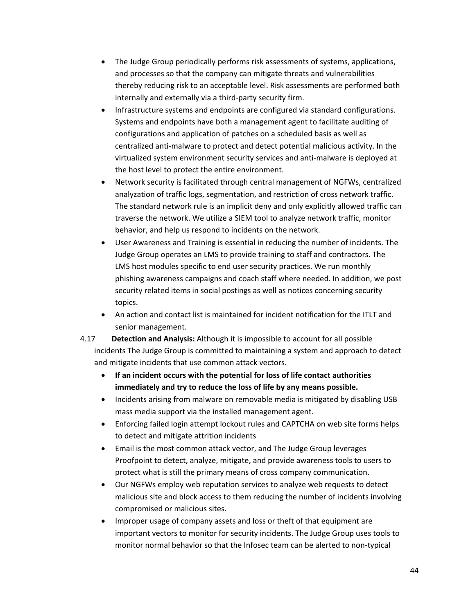- The Judge Group periodically performs risk assessments of systems, applications, and processes so that the company can mitigate threats and vulnerabilities thereby reducing risk to an acceptable level. Risk assessments are performed both internally and externally via a third-party security firm.
- Infrastructure systems and endpoints are configured via standard configurations. Systems and endpoints have both a management agent to facilitate auditing of configurations and application of patches on a scheduled basis as well as centralized anti-malware to protect and detect potential malicious activity. In the virtualized system environment security services and anti-malware is deployed at the host level to protect the entire environment.
- Network security is facilitated through central management of NGFWs, centralized analyzation of traffic logs, segmentation, and restriction of cross network traffic. The standard network rule is an implicit deny and only explicitly allowed traffic can traverse the network. We utilize a SIEM tool to analyze network traffic, monitor behavior, and help us respond to incidents on the network.
- User Awareness and Training is essential in reducing the number of incidents. The Judge Group operates an LMS to provide training to staff and contractors. The LMS host modules specific to end user security practices. We run monthly phishing awareness campaigns and coach staff where needed. In addition, we post security related items in social postings as well as notices concerning security topics.
- An action and contact list is maintained for incident notification for the ITLT and senior management.

4.17 **Detection and Analysis:** Although it is impossible to account for all possible incidents The Judge Group is committed to maintaining a system and approach to detect and mitigate incidents that use common attack vectors.

- **If an incident occurs with the potential for loss of life contact authorities immediately and try to reduce the loss of life by any means possible.**
- Incidents arising from malware on removable media is mitigated by disabling USB mass media support via the installed management agent.
- Enforcing failed login attempt lockout rules and CAPTCHA on web site forms helps to detect and mitigate attrition incidents
- Email is the most common attack vector, and The Judge Group leverages Proofpoint to detect, analyze, mitigate, and provide awareness tools to users to protect what is still the primary means of cross company communication.
- Our NGFWs employ web reputation services to analyze web requests to detect malicious site and block access to them reducing the number of incidents involving compromised or malicious sites.
- Improper usage of company assets and loss or theft of that equipment are important vectors to monitor for security incidents. The Judge Group uses tools to monitor normal behavior so that the Infosec team can be alerted to non-typical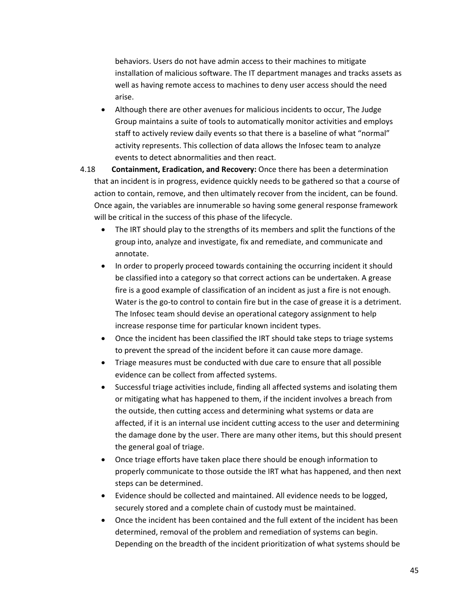behaviors. Users do not have admin access to their machines to mitigate installation of malicious software. The IT department manages and tracks assets as well as having remote access to machines to deny user access should the need arise.

- Although there are other avenues for malicious incidents to occur, The Judge Group maintains a suite of tools to automatically monitor activities and employs staff to actively review daily events so that there is a baseline of what "normal" activity represents. This collection of data allows the Infosec team to analyze events to detect abnormalities and then react.
- 4.18 **Containment, Eradication, and Recovery:** Once there has been a determination that an incident is in progress, evidence quickly needs to be gathered so that a course of action to contain, remove, and then ultimately recover from the incident, can be found. Once again, the variables are innumerable so having some general response framework will be critical in the success of this phase of the lifecycle.
	- The IRT should play to the strengths of its members and split the functions of the group into, analyze and investigate, fix and remediate, and communicate and annotate.
	- In order to properly proceed towards containing the occurring incident it should be classified into a category so that correct actions can be undertaken. A grease fire is a good example of classification of an incident as just a fire is not enough. Water is the go-to control to contain fire but in the case of grease it is a detriment. The Infosec team should devise an operational category assignment to help increase response time for particular known incident types.
	- Once the incident has been classified the IRT should take steps to triage systems to prevent the spread of the incident before it can cause more damage.
	- Triage measures must be conducted with due care to ensure that all possible evidence can be collect from affected systems.
	- Successful triage activities include, finding all affected systems and isolating them or mitigating what has happened to them, if the incident involves a breach from the outside, then cutting access and determining what systems or data are affected, if it is an internal use incident cutting access to the user and determining the damage done by the user. There are many other items, but this should present the general goal of triage.
	- Once triage efforts have taken place there should be enough information to properly communicate to those outside the IRT what has happened, and then next steps can be determined.
	- Evidence should be collected and maintained. All evidence needs to be logged, securely stored and a complete chain of custody must be maintained.
	- Once the incident has been contained and the full extent of the incident has been determined, removal of the problem and remediation of systems can begin. Depending on the breadth of the incident prioritization of what systems should be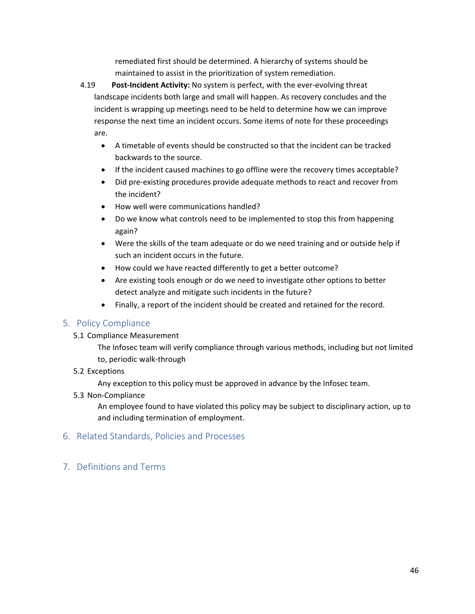remediated first should be determined. A hierarchy of systems should be maintained to assist in the prioritization of system remediation.

4.19 **Post-Incident Activity:** No system is perfect, with the ever-evolving threat landscape incidents both large and small will happen. As recovery concludes and the incident is wrapping up meetings need to be held to determine how we can improve response the next time an incident occurs. Some items of note for these proceedings are.

- A timetable of events should be constructed so that the incident can be tracked backwards to the source.
- If the incident caused machines to go offline were the recovery times acceptable?
- Did pre-existing procedures provide adequate methods to react and recover from the incident?
- How well were communications handled?
- Do we know what controls need to be implemented to stop this from happening again?
- Were the skills of the team adequate or do we need training and or outside help if such an incident occurs in the future.
- How could we have reacted differently to get a better outcome?
- Are existing tools enough or do we need to investigate other options to better detect analyze and mitigate such incidents in the future?
- Finally, a report of the incident should be created and retained for the record.

## <span id="page-45-0"></span>5. Policy Compliance

5.1 Compliance Measurement

The Infosec team will verify compliance through various methods, including but not limited to, periodic walk-through

5.2 Exceptions

Any exception to this policy must be approved in advance by the Infosec team.

5.3 Non-Compliance

An employee found to have violated this policy may be subject to disciplinary action, up to and including termination of employment.

- <span id="page-45-1"></span>6. Related Standards, Policies and Processes
- <span id="page-45-2"></span>7. Definitions and Terms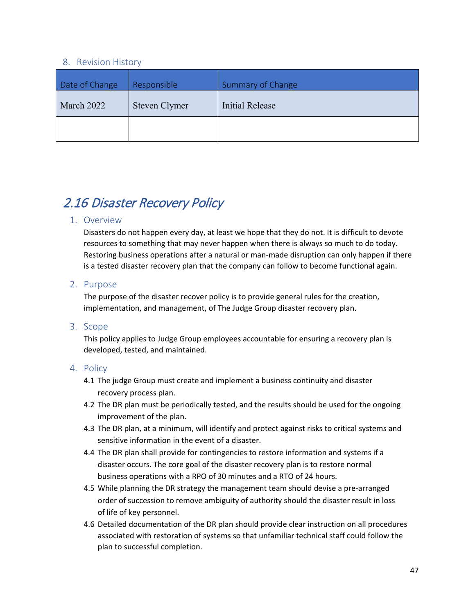### <span id="page-46-6"></span><span id="page-46-5"></span><span id="page-46-3"></span><span id="page-46-2"></span><span id="page-46-0"></span>8. Revision History

<span id="page-46-4"></span><span id="page-46-1"></span>

| Date of Change | Responsible   | <b>Summary of Change</b> |  |  |
|----------------|---------------|--------------------------|--|--|
| March 2022     | Steven Clymer | Initial Release          |  |  |
|                |               |                          |  |  |

## <span id="page-46-7"></span>2.16 Disaster Recovery Policy

#### <span id="page-46-8"></span>1. Overview

Disasters do not happen every day, at least we hope that they do not. It is difficult to devote resources to something that may never happen when there is always so much to do today. Restoring business operations after a natural or man-made disruption can only happen if there is a tested disaster recovery plan that the company can follow to become functional again.

#### <span id="page-46-9"></span>2. Purpose

The purpose of the disaster recover policy is to provide general rules for the creation, implementation, and management, of The Judge Group disaster recovery plan.

#### <span id="page-46-10"></span>3. Scope

This policy applies to Judge Group employees accountable for ensuring a recovery plan is developed, tested, and maintained.

- <span id="page-46-11"></span>4.1 The judge Group must create and implement a business continuity and disaster recovery process plan.
- 4.2 The DR plan must be periodically tested, and the results should be used for the ongoing improvement of the plan.
- 4.3 The DR plan, at a minimum, will identify and protect against risks to critical systems and sensitive information in the event of a disaster.
- 4.4 The DR plan shall provide for contingencies to restore information and systems if a disaster occurs. The core goal of the disaster recovery plan is to restore normal business operations with a RPO of 30 minutes and a RTO of 24 hours.
- 4.5 While planning the DR strategy the management team should devise a pre-arranged order of succession to remove ambiguity of authority should the disaster result in loss of life of key personnel.
- 4.6 Detailed documentation of the DR plan should provide clear instruction on all procedures associated with restoration of systems so that unfamiliar technical staff could follow the plan to successful completion.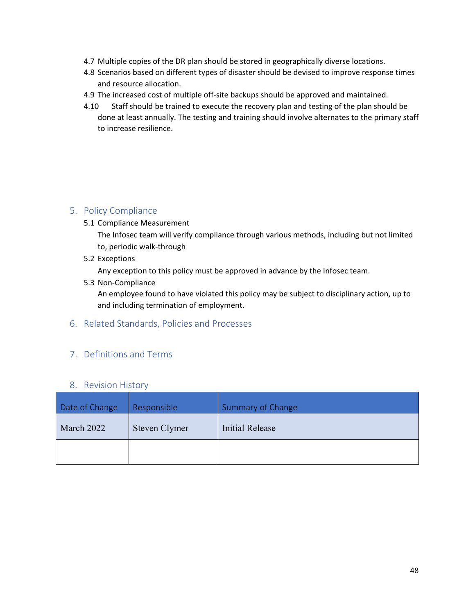- 4.7 Multiple copies of the DR plan should be stored in geographically diverse locations.
- 4.8 Scenarios based on different types of disaster should be devised to improve response times and resource allocation.
- 4.9 The increased cost of multiple off-site backups should be approved and maintained.
- 4.10 Staff should be trained to execute the recovery plan and testing of the plan should be done at least annually. The testing and training should involve alternates to the primary staff to increase resilience.

<span id="page-47-0"></span>5.1 Compliance Measurement

The Infosec team will verify compliance through various methods, including but not limited to, periodic walk-through

5.2 Exceptions

Any exception to this policy must be approved in advance by the Infosec team.

5.3 Non-Compliance

An employee found to have violated this policy may be subject to disciplinary action, up to and including termination of employment.

## <span id="page-47-1"></span>6. Related Standards, Policies and Processes

## <span id="page-47-2"></span>7. Definitions and Terms

#### <span id="page-47-9"></span><span id="page-47-8"></span><span id="page-47-6"></span><span id="page-47-5"></span>8. Revision History

<span id="page-47-7"></span><span id="page-47-4"></span><span id="page-47-3"></span>

| Date of Change | Responsible   | Summary of Change |  |  |
|----------------|---------------|-------------------|--|--|
| March 2022     | Steven Clymer | Initial Release   |  |  |
|                |               |                   |  |  |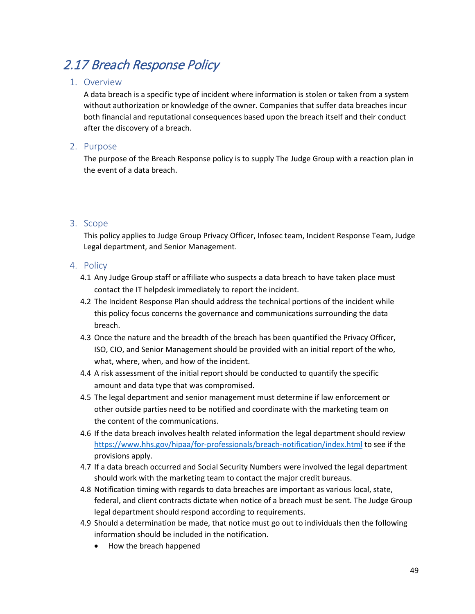## <span id="page-48-0"></span>2.17 Breach Response Policy

### <span id="page-48-1"></span>1. Overview

A data breach is a specific type of incident where information is stolen or taken from a system without authorization or knowledge of the owner. Companies that suffer data breaches incur both financial and reputational consequences based upon the breach itself and their conduct after the discovery of a breach.

#### <span id="page-48-2"></span>2. Purpose

The purpose of the Breach Response policy is to supply The Judge Group with a reaction plan in the event of a data breach.

## <span id="page-48-3"></span>3. Scope

This policy applies to Judge Group Privacy Officer, Infosec team, Incident Response Team, Judge Legal department, and Senior Management.

- <span id="page-48-4"></span>4.1 Any Judge Group staff or affiliate who suspects a data breach to have taken place must contact the IT helpdesk immediately to report the incident.
- 4.2 The Incident Response Plan should address the technical portions of the incident while this policy focus concerns the governance and communications surrounding the data breach.
- 4.3 Once the nature and the breadth of the breach has been quantified the Privacy Officer, ISO, CIO, and Senior Management should be provided with an initial report of the who, what, where, when, and how of the incident.
- 4.4 A risk assessment of the initial report should be conducted to quantify the specific amount and data type that was compromised.
- 4.5 The legal department and senior management must determine if law enforcement or other outside parties need to be notified and coordinate with the marketing team on the content of the communications.
- 4.6 If the data breach involves health related information the legal department should review <https://www.hhs.gov/hipaa/for-professionals/breach-notification/index.html> to see if the provisions apply.
- 4.7 If a data breach occurred and Social Security Numbers were involved the legal department should work with the marketing team to contact the major credit bureaus.
- 4.8 Notification timing with regards to data breaches are important as various local, state, federal, and client contracts dictate when notice of a breach must be sent. The Judge Group legal department should respond according to requirements.
- 4.9 Should a determination be made, that notice must go out to individuals then the following information should be included in the notification.
	- How the breach happened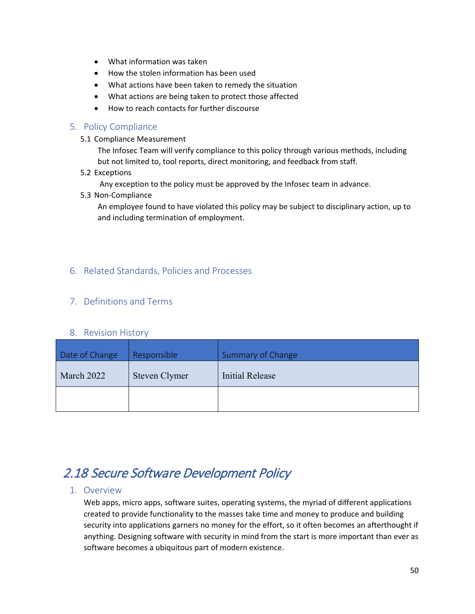- What information was taken
- How the stolen information has been used
- What actions have been taken to remedy the situation
- What actions are being taken to protect those affected
- How to reach contacts for further discourse

- <span id="page-49-0"></span>5.1 Compliance Measurement
	- The Infosec Team will verify compliance to this policy through various methods, including but not limited to, tool reports, direct monitoring, and feedback from staff.
- 5.2 Exceptions
	- Any exception to the policy must be approved by the Infosec team in advance.
- 5.3 Non-Compliance

An employee found to have violated this policy may be subject to disciplinary action, up to and including termination of employment.

## <span id="page-49-1"></span>6. Related Standards, Policies and Processes

## <span id="page-49-2"></span>7. Definitions and Terms

#### <span id="page-49-9"></span><span id="page-49-8"></span><span id="page-49-6"></span><span id="page-49-5"></span>8. Revision History

<span id="page-49-7"></span><span id="page-49-4"></span><span id="page-49-3"></span>

| Date of Change | Responsible   | <b>Summary of Change</b> |  |  |  |
|----------------|---------------|--------------------------|--|--|--|
| March 2022     | Steven Clymer | Initial Release          |  |  |  |
|                |               |                          |  |  |  |

## <span id="page-49-10"></span>2.18 Secure Software Development Policy

#### <span id="page-49-11"></span>1. Overview

Web apps, micro apps, software suites, operating systems, the myriad of different applications created to provide functionality to the masses take time and money to produce and building security into applications garners no money for the effort, so it often becomes an afterthought if anything. Designing software with security in mind from the start is more important than ever as software becomes a ubiquitous part of modern existence.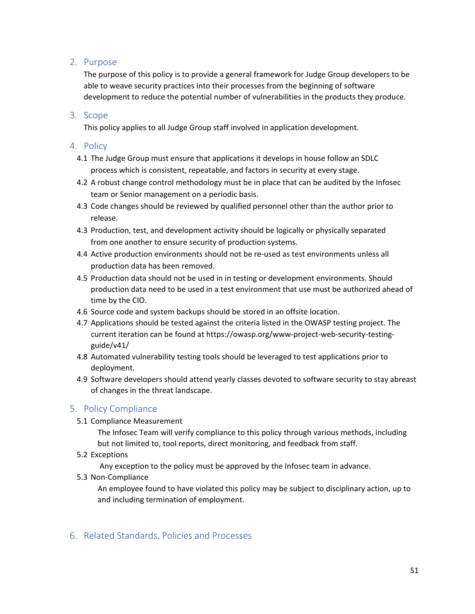## <span id="page-50-0"></span>2. Purpose

The purpose of this policy is to provide a general framework for Judge Group developers to be able to weave security practices into their processes from the beginning of software development to reduce the potential number of vulnerabilities in the products they produce.

### <span id="page-50-1"></span>3. Scope

This policy applies to all Judge Group staff involved in application development.

#### <span id="page-50-2"></span>4. Policy

- 4.1 The Judge Group must ensure that applications it develops in house follow an SDLC process which is consistent, repeatable, and factors in security at every stage.
- 4.2 A robust change control methodology must be in place that can be audited by the Infosec team or Senior management on a periodic basis.
- 4.3 Code changes should be reviewed by qualified personnel other than the author prior to release.
- 4.3 Production, test, and development activity should be logically or physically separated from one another to ensure security of production systems.
- 4.4 Active production environments should not be re-used as test environments unless all production data has been removed.
- 4.5 Production data should not be used in in testing or development environments. Should production data need to be used in a test environment that use must be authorized ahead of time by the CIO.
- 4.6 Source code and system backups should be stored in an offsite location.
- 4.7 Applications should be tested against the criteria listed in the OWASP testing project. The current iteration can be found at https://owasp.org/www-project-web-security-testingguide/v41/
- 4.8 Automated vulnerability testing tools should be leveraged to test applications prior to deployment.
- 4.9 Software developers should attend yearly classes devoted to software security to stay abreast of changes in the threat landscape.

## <span id="page-50-3"></span>5. Policy Compliance

5.1 Compliance Measurement

The Infosec Team will verify compliance to this policy through various methods, including but not limited to, tool reports, direct monitoring, and feedback from staff.

5.2 Exceptions

Any exception to the policy must be approved by the Infosec team in advance.

5.3 Non-Compliance

An employee found to have violated this policy may be subject to disciplinary action, up to and including termination of employment.

<span id="page-50-4"></span>6. Related Standards, Policies and Processes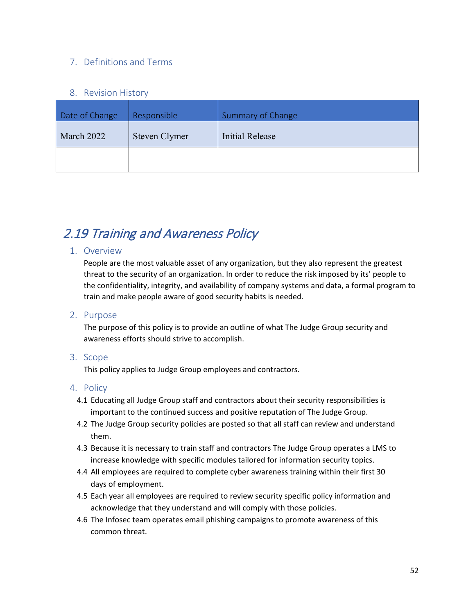## <span id="page-51-0"></span>7. Definitions and Terms

#### <span id="page-51-7"></span><span id="page-51-6"></span><span id="page-51-4"></span><span id="page-51-3"></span>8. Revision History

<span id="page-51-5"></span><span id="page-51-2"></span><span id="page-51-1"></span>

| Date of Change | Responsible   | <b>Summary of Change</b> |  |  |
|----------------|---------------|--------------------------|--|--|
| March 2022     | Steven Clymer | <b>Initial Release</b>   |  |  |
|                |               |                          |  |  |

# <span id="page-51-8"></span>2.19 Training and Awareness Policy

### <span id="page-51-9"></span>1. Overview

People are the most valuable asset of any organization, but they also represent the greatest threat to the security of an organization. In order to reduce the risk imposed by its' people to the confidentiality, integrity, and availability of company systems and data, a formal program to train and make people aware of good security habits is needed.

#### <span id="page-51-10"></span>2. Purpose

The purpose of this policy is to provide an outline of what The Judge Group security and awareness efforts should strive to accomplish.

#### <span id="page-51-11"></span>3. Scope

This policy applies to Judge Group employees and contractors.

- <span id="page-51-12"></span>4.1 Educating all Judge Group staff and contractors about their security responsibilities is important to the continued success and positive reputation of The Judge Group.
- 4.2 The Judge Group security policies are posted so that all staff can review and understand them.
- 4.3 Because it is necessary to train staff and contractors The Judge Group operates a LMS to increase knowledge with specific modules tailored for information security topics.
- 4.4 All employees are required to complete cyber awareness training within their first 30 days of employment.
- 4.5 Each year all employees are required to review security specific policy information and acknowledge that they understand and will comply with those policies.
- 4.6 The Infosec team operates email phishing campaigns to promote awareness of this common threat.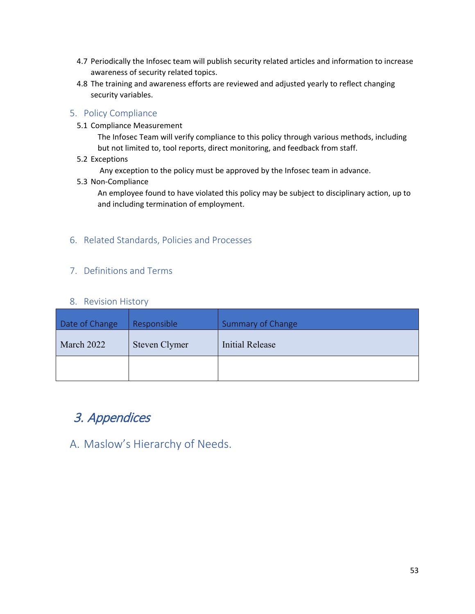- 4.7 Periodically the Infosec team will publish security related articles and information to increase awareness of security related topics.
- 4.8 The training and awareness efforts are reviewed and adjusted yearly to reflect changing security variables.

<span id="page-52-0"></span>5.1 Compliance Measurement

The Infosec Team will verify compliance to this policy through various methods, including but not limited to, tool reports, direct monitoring, and feedback from staff.

5.2 Exceptions

Any exception to the policy must be approved by the Infosec team in advance.

5.3 Non-Compliance

An employee found to have violated this policy may be subject to disciplinary action, up to and including termination of employment.

## <span id="page-52-1"></span>6. Related Standards, Policies and Processes

## <span id="page-52-2"></span>7. Definitions and Terms

### <span id="page-52-9"></span><span id="page-52-8"></span><span id="page-52-6"></span><span id="page-52-5"></span>8. Revision History

<span id="page-52-7"></span><span id="page-52-4"></span><span id="page-52-3"></span>

| Date of Change | Responsible   | Summary of Change |  |  |
|----------------|---------------|-------------------|--|--|
| March 2022     | Steven Clymer | Initial Release   |  |  |
|                |               |                   |  |  |

## <span id="page-52-10"></span>3. Appendices

<span id="page-52-11"></span>A. Maslow's Hierarchy of Needs.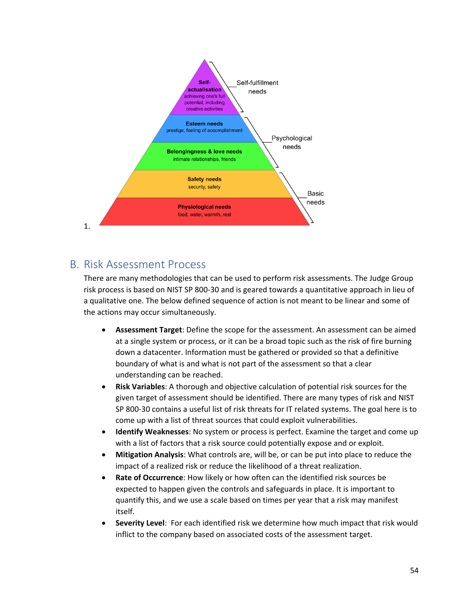

## <span id="page-53-0"></span>B. Risk Assessment Process

There are many methodologies that can be used to perform risk assessments. The Judge Group risk process is based on NIST SP 800-30 and is geared towards a quantitative approach in lieu of a qualitative one. The below defined sequence of action is not meant to be linear and some of the actions may occur simultaneously.

- **Assessment Target**: Define the scope for the assessment. An assessment can be aimed at a single system or process, or it can be a broad topic such as the risk of fire burning down a datacenter. Information must be gathered or provided so that a definitive boundary of what is and what is not part of the assessment so that a clear understanding can be reached.
- **Risk Variables**: A thorough and objective calculation of potential risk sources for the given target of assessment should be identified. There are many types of risk and NIST SP 800-30 contains a useful list of risk threats for IT related systems. The goal here is to come up with a list of threat sources that could exploit vulnerabilities.
- **Identify Weaknesses**: No system or process is perfect. Examine the target and come up with a list of factors that a risk source could potentially expose and or exploit.
- **Mitigation Analysis**: What controls are, will be, or can be put into place to reduce the impact of a realized risk or reduce the likelihood of a threat realization.
- **Rate of Occurrence**: How likely or how often can the identified risk sources be expected to happen given the controls and safeguards in place. It is important to quantify this, and we use a scale based on times per year that a risk may manifest itself.
- **Severity Level**: For each identified risk we determine how much impact that risk would inflict to the company based on associated costs of the assessment target.